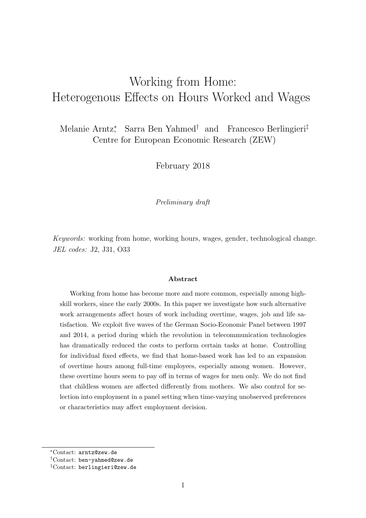# <span id="page-0-0"></span>Working from Home: Heterogenous Effects on Hours Worked and Wages

Melanie Arntz<sup>∗</sup> , Sarra Ben Yahmed† and Francesco Berlingieri‡ Centre for European Economic Research (ZEW)

February 2018

Preliminary draft

Keywords: working from home, working hours, wages, gender, technological change. JEL codes: J2, J31, O33

#### Abstract

Working from home has become more and more common, especially among highskill workers, since the early 2000s. In this paper we investigate how such alternative work arrangements affect hours of work including overtime, wages, job and life satisfaction. We exploit five waves of the German Socio-Economic Panel between 1997 and 2014, a period during which the revolution in telecommunication technologies has dramatically reduced the costs to perform certain tasks at home. Controlling for individual fixed effects, we find that home-based work has led to an expansion of overtime hours among full-time employees, especially among women. However, these overtime hours seem to pay off in terms of wages for men only. We do not find that childless women are affected differently from mothers. We also control for selection into employment in a panel setting when time-varying unobserved preferences or characteristics may affect employment decision.

<sup>∗</sup>Contact: arntz@zew.de

<sup>†</sup>Contact: ben-yahmed@zew.de

<sup>‡</sup>Contact: berlingieri@zew.de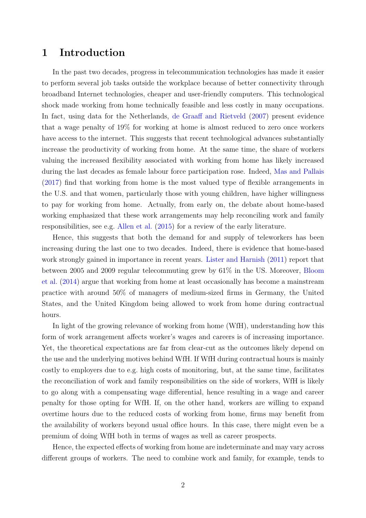## 1 Introduction

In the past two decades, progress in telecommunication technologies has made it easier to perform several job tasks outside the workplace because of better connectivity through broadband Internet technologies, cheaper and user-friendly computers. This technological shock made working from home technically feasible and less costly in many occupations. In fact, using data for the Netherlands, [de Graaff and Rietveld](#page-26-0) [\(2007\)](#page-26-0) present evidence that a wage penalty of 19% for working at home is almost reduced to zero once workers have access to the internet. This suggests that recent technological advances substantially increase the productivity of working from home. At the same time, the share of workers valuing the increased flexibility associated with working from home has likely increased during the last decades as female labour force participation rose. Indeed, [Mas and Pallais](#page-27-0) [\(2017\)](#page-27-0) find that working from home is the most valued type of flexible arrangements in the U.S. and that women, particularly those with young children, have higher willingness to pay for working from home. Actually, from early on, the debate about home-based working emphasized that these work arrangements may help reconciling work and family responsibilities, see e.g. [Allen et al.](#page-26-1) [\(2015\)](#page-26-1) for a review of the early literature.

Hence, this suggests that both the demand for and supply of teleworkers has been increasing during the last one to two decades. Indeed, there is evidence that home-based work strongly gained in importance in recent years. [Lister and Harnish](#page-27-1) [\(2011\)](#page-27-1) report that between 2005 and 2009 regular telecommuting grew by 61% in the US. Moreover, [Bloom](#page-26-2) [et al.](#page-26-2) [\(2014\)](#page-26-2) argue that working from home at least occasionally has become a mainstream practice with around 50% of managers of medium-sized firms in Germany, the United States, and the United Kingdom being allowed to work from home during contractual hours.

In light of the growing relevance of working from home (WfH), understanding how this form of work arrangement affects worker's wages and careers is of increasing importance. Yet, the theoretical expectations are far from clear-cut as the outcomes likely depend on the use and the underlying motives behind WfH. If WfH during contractual hours is mainly costly to employers due to e.g. high costs of monitoring, but, at the same time, facilitates the reconciliation of work and family responsibilities on the side of workers, WfH is likely to go along with a compensating wage differential, hence resulting in a wage and career penalty for those opting for WfH. If, on the other hand, workers are willing to expand overtime hours due to the reduced costs of working from home, firms may benefit from the availability of workers beyond usual office hours. In this case, there might even be a premium of doing WfH both in terms of wages as well as career prospects.

Hence, the expected effects of working from home are indeterminate and may vary across different groups of workers. The need to combine work and family, for example, tends to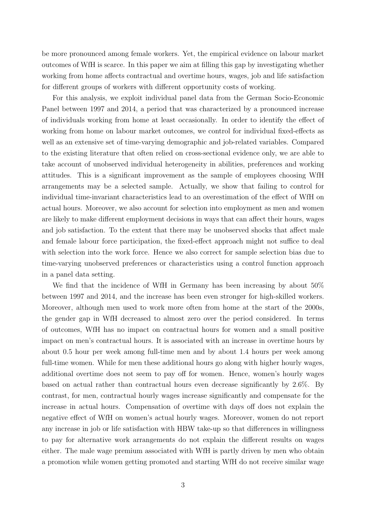be more pronounced among female workers. Yet, the empirical evidence on labour market outcomes of WfH is scarce. In this paper we aim at filling this gap by investigating whether working from home affects contractual and overtime hours, wages, job and life satisfaction for different groups of workers with different opportunity costs of working.

For this analysis, we exploit individual panel data from the German Socio-Economic Panel between 1997 and 2014, a period that was characterized by a pronounced increase of individuals working from home at least occasionally. In order to identify the effect of working from home on labour market outcomes, we control for individual fixed-effects as well as an extensive set of time-varying demographic and job-related variables. Compared to the existing literature that often relied on cross-sectional evidence only, we are able to take account of unobserved individual heterogeneity in abilities, preferences and working attitudes. This is a significant improvement as the sample of employees choosing WfH arrangements may be a selected sample. Actually, we show that failing to control for individual time-invariant characteristics lead to an overestimation of the effect of WfH on actual hours. Moreover, we also account for selection into employment as men and women are likely to make different employment decisions in ways that can affect their hours, wages and job satisfaction. To the extent that there may be unobserved shocks that affect male and female labour force participation, the fixed-effect approach might not suffice to deal with selection into the work force. Hence we also correct for sample selection bias due to time-varying unobserved preferences or characteristics using a control function approach in a panel data setting.

We find that the incidence of WfH in Germany has been increasing by about 50% between 1997 and 2014, and the increase has been even stronger for high-skilled workers. Moreover, although men used to work more often from home at the start of the 2000s, the gender gap in WfH decreased to almost zero over the period considered. In terms of outcomes, WfH has no impact on contractual hours for women and a small positive impact on men's contractual hours. It is associated with an increase in overtime hours by about 0.5 hour per week among full-time men and by about 1.4 hours per week among full-time women. While for men these additional hours go along with higher hourly wages, additional overtime does not seem to pay off for women. Hence, women's hourly wages based on actual rather than contractual hours even decrease significantly by 2.6%. By contrast, for men, contractual hourly wages increase significantly and compensate for the increase in actual hours. Compensation of overtime with days off does not explain the negative effect of WfH on women's actual hourly wages. Moreover, women do not report any increase in job or life satisfaction with HBW take-up so that differences in willingness to pay for alternative work arrangements do not explain the different results on wages either. The male wage premium associated with WfH is partly driven by men who obtain a promotion while women getting promoted and starting WfH do not receive similar wage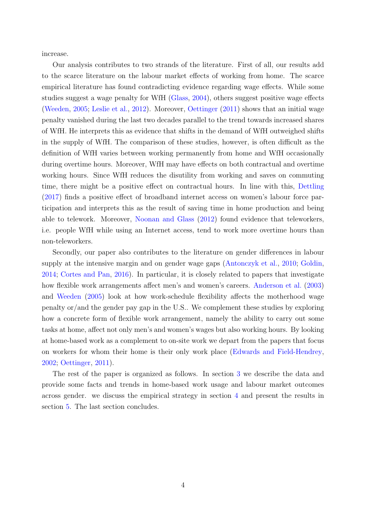increase.

Our analysis contributes to two strands of the literature. First of all, our results add to the scarce literature on the labour market effects of working from home. The scarce empirical literature has found contradicting evidence regarding wage effects. While some studies suggest a wage penalty for WfH [\(Glass,](#page-26-3) [2004\)](#page-26-3), others suggest positive wage effects [\(Weeden,](#page-27-2) [2005;](#page-27-2) [Leslie et al.,](#page-27-3) [2012\)](#page-27-3). Moreover, [Oettinger](#page-27-4) [\(2011\)](#page-27-4) shows that an initial wage penalty vanished during the last two decades parallel to the trend towards increased shares of WfH. He interprets this as evidence that shifts in the demand of WfH outweighed shifts in the supply of WfH. The comparison of these studies, however, is often difficult as the definition of WfH varies between working permanently from home and WfH occasionally during overtime hours. Moreover, WfH may have effects on both contractual and overtime working hours. Since WfH reduces the disutility from working and saves on commuting time, there might be a positive effect on contractual hours. In line with this, [Dettling](#page-26-4) [\(2017\)](#page-26-4) finds a positive effect of broadband internet access on women's labour force participation and interprets this as the result of saving time in home production and being able to telework. Moreover, [Noonan and Glass](#page-27-5) [\(2012\)](#page-27-5) found evidence that teleworkers, i.e. people WfH while using an Internet access, tend to work more overtime hours than non-teleworkers.

Secondly, our paper also contributes to the literature on gender differences in labour supply at the intensive margin and on gender wage gaps [\(Antonczyk et al.,](#page-26-5) [2010;](#page-26-5) [Goldin,](#page-27-6) [2014;](#page-27-6) [Cortes and Pan,](#page-26-6) [2016\)](#page-26-6). In particular, it is closely related to papers that investigate how flexible work arrangements affect men's and women's careers. [Anderson et al.](#page-26-7)  $(2003)$ and [Weeden](#page-27-2) [\(2005\)](#page-27-2) look at how work-schedule flexibility affects the motherhood wage penalty or/and the gender pay gap in the U.S.. We complement these studies by exploring how a concrete form of flexible work arrangement, namely the ability to carry out some tasks at home, affect not only men's and women's wages but also working hours. By looking at home-based work as a complement to on-site work we depart from the papers that focus on workers for whom their home is their only work place [\(Edwards and Field-Hendrey,](#page-26-8) [2002;](#page-26-8) [Oettinger,](#page-27-4) [2011\)](#page-27-4).

The rest of the paper is organized as follows. In section [3](#page-6-0) we describe the data and provide some facts and trends in home-based work usage and labour market outcomes across gender. we discuss the empirical strategy in section [4](#page-14-0) and present the results in section [5.](#page-15-0) The last section concludes.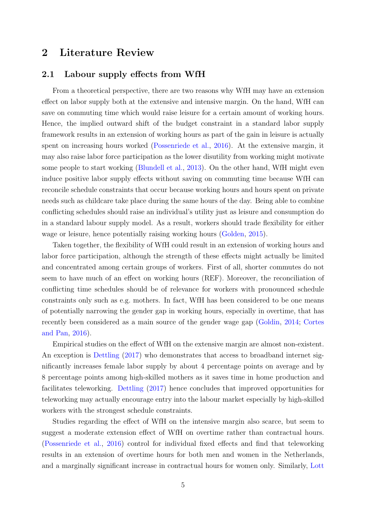## 2 Literature Review

#### 2.1 Labour supply effects from WfH

From a theoretical perspective, there are two reasons why WfH may have an extension effect on labor supply both at the extensive and intensive margin. On the hand, WfH can save on commuting time which would raise leisure for a certain amount of working hours. Hence, the implied outward shift of the budget constraint in a standard labor supply framework results in an extension of working hours as part of the gain in leisure is actually spent on increasing hours worked [\(Possenriede et al.,](#page-27-7) [2016\)](#page-27-7). At the extensive margin, it may also raise labor force participation as the lower disutility from working might motivate some people to start working [\(Blundell et al.,](#page-26-9) [2013\)](#page-26-9). On the other hand, WfH might even induce positive labor supply effects without saving on commuting time because WfH can reconcile schedule constraints that occur because working hours and hours spent on private needs such as childcare take place during the same hours of the day. Being able to combine conflicting schedules should raise an individual's utility just as leisure and consumption do in a standard labour supply model. As a result, workers should trade flexibility for either wage or leisure, hence potentially raising working hours [\(Golden,](#page-26-10) [2015\)](#page-26-10).

Taken together, the flexibility of WfH could result in an extension of working hours and labor force participation, although the strength of these effects might actually be limited and concentrated among certain groups of workers. First of all, shorter commutes do not seem to have much of an effect on working hours (REF). Moreover, the reconciliation of conflicting time schedules should be of relevance for workers with pronounced schedule constraints only such as e.g. mothers. In fact, WfH has been considered to be one means of potentially narrowing the gender gap in working hours, especially in overtime, that has recently been considered as a main source of the gender wage gap [\(Goldin,](#page-27-6) [2014;](#page-27-6) [Cortes](#page-26-6) [and Pan,](#page-26-6) [2016\)](#page-26-6).

Empirical studies on the effect of WfH on the extensive margin are almost non-existent. An exception is [Dettling](#page-26-4) [\(2017\)](#page-26-4) who demonstrates that access to broadband internet significantly increases female labor supply by about 4 percentage points on average and by 8 percentage points among high-skilled mothers as it saves time in home production and facilitates teleworking. [Dettling](#page-26-4) [\(2017\)](#page-26-4) hence concludes that improved opportunities for teleworking may actually encourage entry into the labour market especially by high-skilled workers with the strongest schedule constraints.

Studies regarding the effect of WfH on the intensive margin also scarce, but seem to suggest a moderate extension effect of WfH on overtime rather than contractual hours. [\(Possenriede et al.,](#page-27-7) [2016\)](#page-27-7) control for individual fixed effects and find that teleworking results in an extension of overtime hours for both men and women in the Netherlands, and a marginally significant increase in contractual hours for women only. Similarly, [Lott](#page-27-8)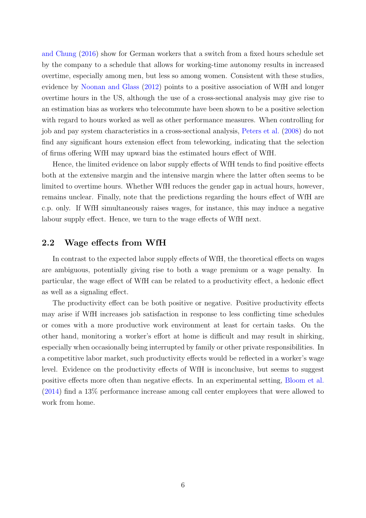[and Chung](#page-27-8) [\(2016\)](#page-27-8) show for German workers that a switch from a fixed hours schedule set by the company to a schedule that allows for working-time autonomy results in increased overtime, especially among men, but less so among women. Consistent with these studies, evidence by [Noonan and Glass](#page-27-5) [\(2012\)](#page-27-5) points to a positive association of WfH and longer overtime hours in the US, although the use of a cross-sectional analysis may give rise to an estimation bias as workers who telecommute have been shown to be a positive selection with regard to hours worked as well as other performance measures. When controlling for job and pay system characteristics in a cross-sectional analysis, [Peters et al.](#page-27-9) [\(2008\)](#page-27-9) do not find any significant hours extension effect from teleworking, indicating that the selection of firms offering WfH may upward bias the estimated hours effect of WfH.

Hence, the limited evidence on labor supply effects of WfH tends to find positive effects both at the extensive margin and the intensive margin where the latter often seems to be limited to overtime hours. Whether WfH reduces the gender gap in actual hours, however, remains unclear. Finally, note that the predictions regarding the hours effect of WfH are c.p. only. If WfH simultaneously raises wages, for instance, this may induce a negative labour supply effect. Hence, we turn to the wage effects of WfH next.

#### 2.2 Wage effects from WfH

In contrast to the expected labor supply effects of WfH, the theoretical effects on wages are ambiguous, potentially giving rise to both a wage premium or a wage penalty. In particular, the wage effect of WfH can be related to a productivity effect, a hedonic effect as well as a signaling effect.

The productivity effect can be both positive or negative. Positive productivity effects may arise if WfH increases job satisfaction in response to less conflicting time schedules or comes with a more productive work environment at least for certain tasks. On the other hand, monitoring a worker's effort at home is difficult and may result in shirking, especially when occasionally being interrupted by family or other private responsibilities. In a competitive labor market, such productivity effects would be reflected in a worker's wage level. Evidence on the productivity effects of WfH is inconclusive, but seems to suggest positive effects more often than negative effects. In an experimental setting, [Bloom et al.](#page-26-2) [\(2014\)](#page-26-2) find a 13% performance increase among call center employees that were allowed to work from home.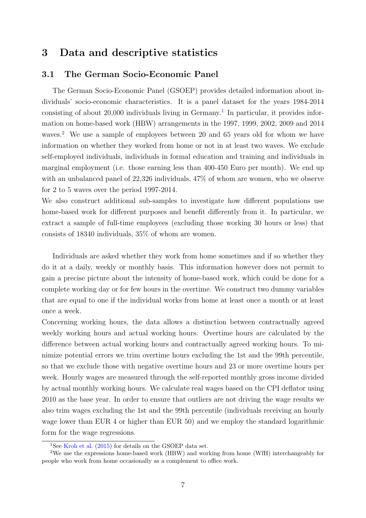## <span id="page-6-0"></span>3 Data and descriptive statistics

#### 3.1 The German Socio-Economic Panel

The German Socio-Economic Panel (GSOEP) provides detailed information about individuals' socio-economic characteristics. It is a panel dataset for the years 1984-2014 consisting of about  $20,000$  individuals living in Germany.<sup>[1](#page-0-0)</sup> In particular, it provides information on home-based work (HBW) arrangements in the 1997, 1999, 2002, 2009 and 2014 waves.<sup>[2](#page-0-0)</sup> We use a sample of employees between 20 and 65 years old for whom we have information on whether they worked from home or not in at least two waves. We exclude self-employed individuals, individuals in formal education and training and individuals in marginal employment (i.e. those earning less than 400-450 Euro per month). We end up with an unbalanced panel of 22,326 individuals, 47% of whom are women, who we observe for 2 to 5 waves over the period 1997-2014.

We also construct additional sub-samples to investigate how different populations use home-based work for different purposes and benefit differently from it. In particular, we extract a sample of full-time employees (excluding those working 30 hours or less) that consists of 18340 individuals, 35% of whom are women.

Individuals are asked whether they work from home sometimes and if so whether they do it at a daily, weekly or monthly basis. This information however does not permit to gain a precise picture about the intensity of home-based work, which could be done for a complete working day or for few hours in the overtime. We construct two dummy variables that are equal to one if the individual works from home at least once a month or at least once a week.

Concerning working hours, the data allows a distinction between contractually agreed weekly working hours and actual working hours. Overtime hours are calculated by the difference between actual working hours and contractually agreed working hours. To minimize potential errors we trim overtime hours excluding the 1st and the 99th percentile, so that we exclude those with negative overtime hours and 23 or more overtime hours per week. Hourly wages are measured through the self-reported monthly gross income divided by actual monthly working hours. We calculate real wages based on the CPI deflator using 2010 as the base year. In order to ensure that outliers are not driving the wage results we also trim wages excluding the 1st and the 99th percentile (individuals receiving an hourly wage lower than EUR 4 or higher than EUR 50) and we employ the standard logarithmic form for the wage regressions.

<sup>&</sup>lt;sup>1</sup>See [Kroh et al.](#page-27-10) [\(2015\)](#page-27-10) for details on the GSOEP data set.

<sup>2</sup>We use the expressions home-based work (HBW) and working from home (WfH) interchangeably for people who work from home occasionally as a complement to office work.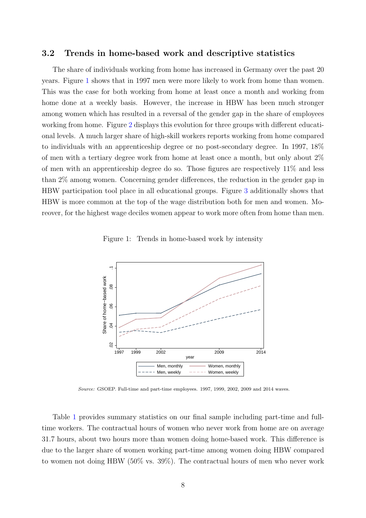#### 3.2 Trends in home-based work and descriptive statistics

The share of individuals working from home has increased in Germany over the past 20 years. Figure [1](#page-7-0) shows that in 1997 men were more likely to work from home than women. This was the case for both working from home at least once a month and working from home done at a weekly basis. However, the increase in HBW has been much stronger among women which has resulted in a reversal of the gender gap in the share of employees working from home. Figure [2](#page-9-0) displays this evolution for three groups with different educational levels. A much larger share of high-skill workers reports working from home compared to individuals with an apprenticeship degree or no post-secondary degree. In 1997, 18% of men with a tertiary degree work from home at least once a month, but only about 2% of men with an apprenticeship degree do so. Those figures are respectively 11% and less than 2% among women. Concerning gender differences, the reduction in the gender gap in HBW participation tool place in all educational groups. Figure [3](#page-9-1) additionally shows that HBW is more common at the top of the wage distribution both for men and women. Moreover, for the highest wage deciles women appear to work more often from home than men.

Figure 1: Trends in home-based work by intensity

<span id="page-7-0"></span>

Source: GSOEP. Full-time and part-time employees. 1997, 1999, 2002, 2009 and 2014 waves.

Table [1](#page-8-0) provides summary statistics on our final sample including part-time and fulltime workers. The contractual hours of women who never work from home are on average 31.7 hours, about two hours more than women doing home-based work. This difference is due to the larger share of women working part-time among women doing HBW compared to women not doing HBW (50% vs. 39%). The contractual hours of men who never work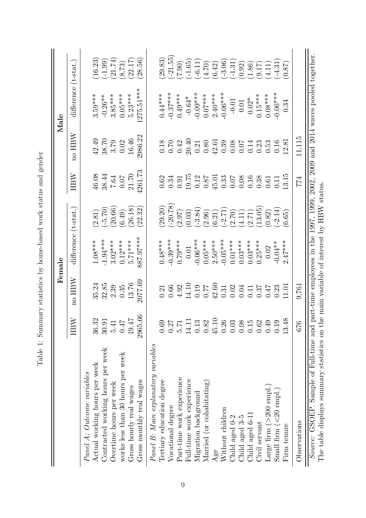<span id="page-8-0"></span>

|                                                                                                                                                                                                                   |                    |                           | $\rm Female$ |             |                                                     |                                | $\rm {Male}$         |           |
|-------------------------------------------------------------------------------------------------------------------------------------------------------------------------------------------------------------------|--------------------|---------------------------|--------------|-------------|-----------------------------------------------------|--------------------------------|----------------------|-----------|
|                                                                                                                                                                                                                   | $_{\rm HBW}$       | HBW<br>$\overline{\rm n}$ | difference   | $(t-stat.)$ | HBW                                                 | HBW<br>$\overline{\mathrm{m}}$ | difference (t-stat.) |           |
| Panel A: Outcome variables                                                                                                                                                                                        |                    |                           |              |             |                                                     |                                |                      |           |
| Actual working hours per week                                                                                                                                                                                     | $36.32$<br>$30.91$ | 35.24                     | $1.08***$    | 2.81)       | 46.08                                               | 42.49                          | $3.59***$            | 16.23     |
| Contracted working hours per week                                                                                                                                                                                 |                    | 32.85                     | $-1.94***$   | $(-5.70)$   | 38.44                                               | 38.70                          | $-0.26**$            | $(-1.99)$ |
| Overtime hours per week                                                                                                                                                                                           | 5.41               | 2.39                      | $3.02***$    | (20.66)     | $7.64\,$                                            | 3.79                           | $3.85***$            | (21.74)   |
| works less than 30 hours per week                                                                                                                                                                                 | 0.47               | 0.35                      | $0.12***$    | (6.49)      | $0.07$                                              | 0.02                           | $0.05***$            | (8.73)    |
| Gross hourly real wages                                                                                                                                                                                           | 19.47              | 13.76                     | $5.71***$    | (26.18)     | 21.70                                               | 16.46                          | $5.23***$            | (22.17)   |
| Gross monthly real wages                                                                                                                                                                                          | 2965.66            | 2077.69                   | 887.97***    | (22.32)     | 4261.73                                             | 2986.22                        | $275.51***$          | (28.56)   |
| Panel B: Main explanatory variables                                                                                                                                                                               |                    |                           |              |             |                                                     |                                |                      |           |
| Tertiary education degree                                                                                                                                                                                         | 0.69               | 0.21                      | $0.48***$    | (29.20)     | $0.62\,$                                            | 0.18                           | $0.44***$            | (29.83)   |
| Vocational degree                                                                                                                                                                                                 | 0.27               | 0.66                      | $-0.39***$   | $-20.78$    | 0.34                                                |                                | $-0.37***$           | $-21.55$  |
| Part-time work experience                                                                                                                                                                                         | 5.71               | 4.92                      | $0.79***$    | (2.97)      | 0.91                                                | $0.70$<br>$0.42$               | $0.49***$            | (06.2)    |
| Full-time work experience                                                                                                                                                                                         | 14.11              | 14.10                     | $0.01\,$     | (0.03)      | 19.75                                               | 20.40                          | $-0.64*$             | $(-1.65)$ |
| Migration background                                                                                                                                                                                              | 0.13               |                           | $-0.06***$   | $-3.84$     |                                                     | 0.21                           | $-0.09***$           | $(-6.11)$ |
| Married (or cohabitating)                                                                                                                                                                                         | 0.82               | 0.77                      | $0.05***$    | (2.96)      | $\begin{array}{c} 0.12 \\ 0.87 \end{array}$         | 0.80                           | $0.07***$            | (4.70)    |
| Age                                                                                                                                                                                                               | 45.10              | 42.60                     | $2.50***$    | (6.21)      | 45.01                                               | 42.61                          | $2.40***$            | (6.42)    |
| Without children                                                                                                                                                                                                  | 0.26               | 0.31                      | $-0.05***$   | $(-2.71)$   | $0.33$<br>$0.07$                                    | 0.39                           | $-0.06***$           | $(-3.06)$ |
| Child aged 0-2                                                                                                                                                                                                    | 0.03               | 0.02                      | $0.01***$    | (0.72)      |                                                     | 0.08                           | $-0.01$              | $(-1.31)$ |
| Child aged 3-5                                                                                                                                                                                                    | 0.08               | 0.04                      | $0.03***$    | (4.11)      | $\begin{array}{c} 0.08 \\ 0.16 \\ 0.38 \end{array}$ | $0.07$<br>0.14                 | 0.01                 | (0.92)    |
| Child aged 6-11                                                                                                                                                                                                   | 0.15               | 0.11                      | $0.03***$    | (2.71)      |                                                     |                                | $0.02*$              | (1.86)    |
| Civil servant                                                                                                                                                                                                     | 0.62               | 0.37                      | $0.25***$    | 13.05       |                                                     | 0.23                           | $0.15***$            | (9.17)    |
| Large firm $(>200$ empl.)                                                                                                                                                                                         | 0.49               | 75.0                      | 0.02         | (0.82)      | 0.61                                                | 0.53                           | $0.08***$            | 4.11      |
| Small firm $(<\!20 \text{ empl.})$                                                                                                                                                                                | 0.19               | 0.23                      | $-0.04**$    | $(-2.14)$   | 0.11                                                | 0.16                           | $-0.06***$           | $(-4.31)$ |
| Firm tenure                                                                                                                                                                                                       | 13.48              | 11.01                     | $2.47***$    | (6.65)      | 13.15                                               | 2.81                           | 0.34                 | 0.87      |
| Observations                                                                                                                                                                                                      | 676                | 9,761                     |              |             | 774                                                 | 11,115                         |                      |           |
| Source: GSOEP. Sample of Full-time and part-time employees in the 1997, 1999, 2002, 2009 and 2014 waves pooled together.<br>The table displays summary statistics on the main variable of interest by HBW status. |                    |                           |              |             |                                                     |                                |                      |           |

Table 1: Summary statistics by home-based work status and gender Table 1: Summary statistics by home-based work status and gender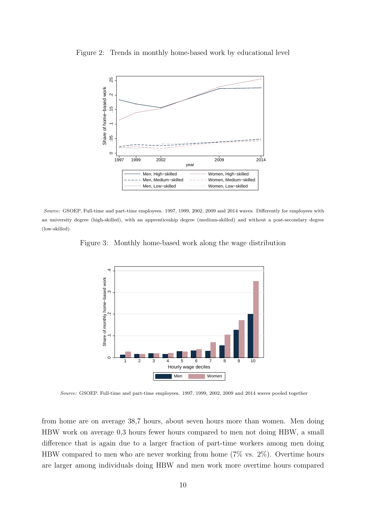

<span id="page-9-0"></span>Figure 2: Trends in monthly home-based work by educational level

<span id="page-9-1"></span>Source: GSOEP. Full-time and part-time employees. 1997, 1999, 2002, 2009 and 2014 waves. Differently for employees with an university degree (high-skilled), with an apprenticeship degree (medium-skilled) and without a post-secondary degree (low-skilled).

Figure 3: Monthly home-based work along the wage distribution



Source: GSOEP. Full-time and part-time employees. 1997, 1999, 2002, 2009 and 2014 waves pooled together

from home are on average 38,7 hours, about seven hours more than women. Men doing HBW work on average 0,3 hours fewer hours compared to men not doing HBW, a small difference that is again due to a larger fraction of part-time workers among men doing HBW compared to men who are never working from home (7% vs. 2%). Overtime hours are larger among individuals doing HBW and men work more overtime hours compared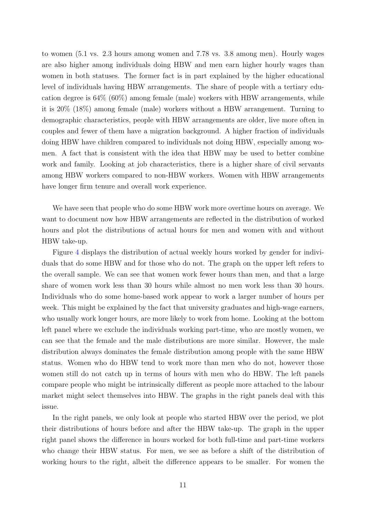to women (5.1 vs. 2.3 hours among women and 7.78 vs. 3.8 among men). Hourly wages are also higher among individuals doing HBW and men earn higher hourly wages than women in both statuses. The former fact is in part explained by the higher educational level of individuals having HBW arrangements. The share of people with a tertiary education degree is 64% (60%) among female (male) workers with HBW arrangements, while it is 20% (18%) among female (male) workers without a HBW arrangement. Turning to demographic characteristics, people with HBW arrangements are older, live more often in couples and fewer of them have a migration background. A higher fraction of individuals doing HBW have children compared to individuals not doing HBW, especially among women. A fact that is consistent with the idea that HBW may be used to better combine work and family. Looking at job characteristics, there is a higher share of civil servants among HBW workers compared to non-HBW workers. Women with HBW arrangements have longer firm tenure and overall work experience.

We have seen that people who do some HBW work more overtime hours on average. We want to document now how HBW arrangements are reflected in the distribution of worked hours and plot the distributions of actual hours for men and women with and without HBW take-up.

Figure [4](#page-11-0) displays the distribution of actual weekly hours worked by gender for individuals that do some HBW and for those who do not. The graph on the upper left refers to the overall sample. We can see that women work fewer hours than men, and that a large share of women work less than 30 hours while almost no men work less than 30 hours. Individuals who do some home-based work appear to work a larger number of hours per week. This might be explained by the fact that university graduates and high-wage earners, who usually work longer hours, are more likely to work from home. Looking at the bottom left panel where we exclude the individuals working part-time, who are mostly women, we can see that the female and the male distributions are more similar. However, the male distribution always dominates the female distribution among people with the same HBW status. Women who do HBW tend to work more than men who do not, however those women still do not catch up in terms of hours with men who do HBW. The left panels compare people who might be intrinsically different as people more attached to the labour market might select themselves into HBW. The graphs in the right panels deal with this issue.

In the right panels, we only look at people who started HBW over the period, we plot their distributions of hours before and after the HBW take-up. The graph in the upper right panel shows the difference in hours worked for both full-time and part-time workers who change their HBW status. For men, we see as before a shift of the distribution of working hours to the right, albeit the difference appears to be smaller. For women the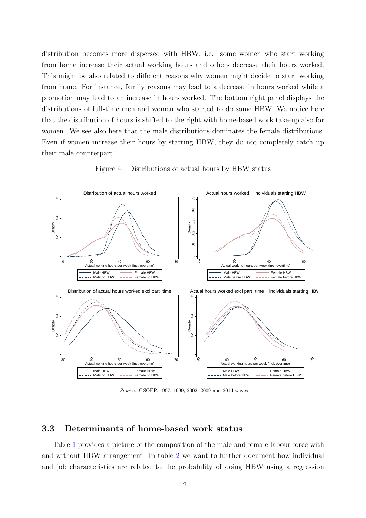distribution becomes more dispersed with HBW, i.e. some women who start working from home increase their actual working hours and others decrease their hours worked. This might be also related to different reasons why women might decide to start working from home. For instance, family reasons may lead to a decrease in hours worked while a promotion may lead to an increase in hours worked. The bottom right panel displays the distributions of full-time men and women who started to do some HBW. We notice here that the distribution of hours is shifted to the right with home-based work take-up also for women. We see also here that the male distributions dominates the female distributions. Even if women increase their hours by starting HBW, they do not completely catch up their male counterpart.

<span id="page-11-0"></span>

Figure 4: Distributions of actual hours by HBW status

Source: GSOEP. 1997, 1999, 2002, 2009 and 2014 waves

#### 3.3 Determinants of home-based work status

Table [1](#page-8-0) provides a picture of the composition of the male and female labour force with and without HBW arrangement. In table [2](#page-13-0) we want to further document how individual and job characteristics are related to the probability of doing HBW using a regression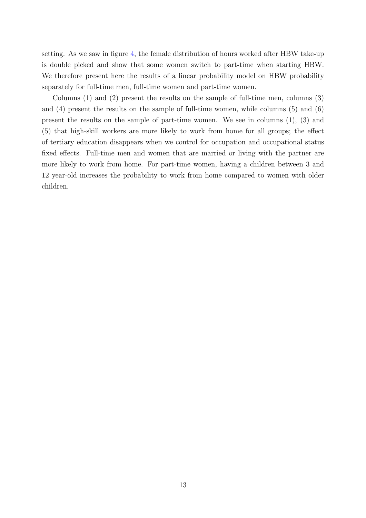setting. As we saw in figure [4,](#page-11-0) the female distribution of hours worked after HBW take-up is double picked and show that some women switch to part-time when starting HBW. We therefore present here the results of a linear probability model on HBW probability separately for full-time men, full-time women and part-time women.

Columns (1) and (2) present the results on the sample of full-time men, columns (3) and (4) present the results on the sample of full-time women, while columns (5) and (6) present the results on the sample of part-time women. We see in columns (1), (3) and (5) that high-skill workers are more likely to work from home for all groups; the effect of tertiary education disappears when we control for occupation and occupational status fixed effects. Full-time men and women that are married or living with the partner are more likely to work from home. For part-time women, having a children between 3 and 12 year-old increases the probability to work from home compared to women with older children.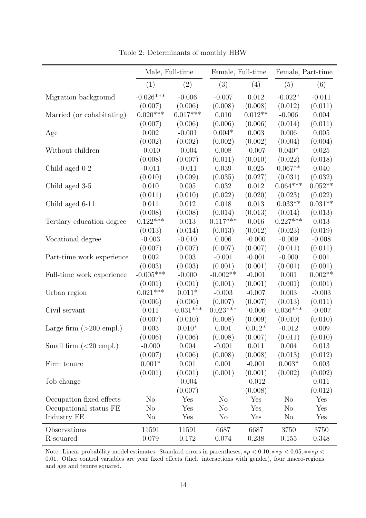<span id="page-13-0"></span>

|                           |                | Male, Full-time | Female, Full-time |           | Female, Part-time |           |
|---------------------------|----------------|-----------------|-------------------|-----------|-------------------|-----------|
|                           | (1)            | (2)             | (3)               | (4)       | (5)               | (6)       |
| Migration background      | $-0.026***$    | $-0.006$        | $-0.007$          | 0.012     | $-0.022*$         | $-0.011$  |
|                           | (0.007)        | (0.006)         | (0.008)           | (0.008)   | (0.012)           | (0.011)   |
| Married (or cohabitating) | $0.020***$     | $0.017***$      | 0.010             | $0.012**$ | $-0.006$          | 0.004     |
|                           | (0.007)        | (0.006)         | (0.006)           | (0.006)   | (0.014)           | (0.011)   |
| Age                       | 0.002          | $-0.001$        | $0.004*$          | 0.003     | 0.006             | 0.005     |
|                           | (0.002)        | (0.002)         | (0.002)           | (0.002)   | (0.004)           | (0.004)   |
| Without children          | $-0.010$       | $-0.004$        | 0.008             | $-0.007$  | $0.040*$          | 0.025     |
|                           | (0.008)        | (0.007)         | (0.011)           | (0.010)   | (0.022)           | (0.018)   |
| Child aged 0-2            | $-0.011$       | $-0.011$        | 0.039             | 0.025     | $0.067**$         | 0.040     |
|                           | (0.010)        | (0.009)         | (0.035)           | (0.027)   | (0.031)           | (0.032)   |
| Child aged 3-5            | 0.010          | 0.005           | 0.032             | $0.012\,$ | $0.064***$        | $0.052**$ |
|                           | (0.011)        | (0.010)         | (0.022)           | (0.020)   | (0.023)           | (0.022)   |
| Child aged 6-11           | 0.011          | 0.012           | 0.018             | 0.013     | $0.033**$         | $0.031**$ |
|                           | (0.008)        | (0.008)         | (0.014)           | (0.013)   | (0.014)           | (0.013)   |
| Tertiary education degree | $0.122***$     | 0.013           | $0.117***$        | 0.016     | $0.227***$        | 0.013     |
|                           | (0.013)        | (0.014)         | (0.013)           | (0.012)   | (0.023)           | (0.019)   |
| Vocational degree         | $-0.003$       | $-0.010$        | 0.006             | $-0.000$  | $-0.009$          | $-0.008$  |
|                           | (0.007)        | (0.007)         | (0.007)           | (0.007)   | (0.011)           | (0.011)   |
| Part-time work experience | 0.002          | 0.003           | $-0.001$          | $-0.001$  | $-0.000$          | 0.001     |
|                           | (0.003)        | (0.003)         | (0.001)           | (0.001)   | (0.001)           | (0.001)   |
| Full-time work experience | $-0.005***$    | $-0.000$        | $-0.002**$        | $-0.001$  | 0.001             | $0.002**$ |
|                           | (0.001)        | (0.001)         | (0.001)           | (0.001)   | (0.001)           | (0.001)   |
| Urban region              | $0.021***$     | $0.011*$        | $-0.003$          | $-0.007$  | 0.003             | $-0.003$  |
|                           | (0.006)        | (0.006)         | (0.007)           | (0.007)   | (0.013)           | (0.011)   |
| Civil servant             | 0.011          | $-0.031***$     | $0.023***$        | $-0.006$  | $0.036^{***}\,$   | $-0.007$  |
|                           | (0.007)        | (0.010)         | (0.008)           | (0.009)   | (0.010)           | (0.010)   |
| Large firm $(>200$ empl.) | 0.003          | $0.010*$        | 0.001             | $0.012*$  | $-0.012$          | 0.009     |
|                           | (0.006)        | (0.006)         | (0.008)           | (0.007)   | (0.011)           | (0.010)   |
| Small firm $(<20$ empl.)  | $-0.000$       | 0.004           | $-0.001$          | 0.011     | 0.004             | 0.013     |
|                           | (0.007)        | (0.006)         | (0.008)           | (0.008)   | (0.013)           | (0.012)   |
| Firm tenure               | $0.001*$       | 0.001           | 0.001             | $-0.001$  | $0.003*$          | 0.003     |
|                           | (0.001)        | (0.001)         | (0.001)           | (0.001)   | (0.002)           | (0.002)   |
| Job change                |                | $-0.004$        |                   | $-0.012$  |                   | 0.011     |
|                           |                | (0.007)         |                   | (0.008)   |                   | (0.012)   |
| Occupation fixed effects  | N <sub>o</sub> | Yes             | No                | Yes       | N <sub>o</sub>    | Yes       |
| Occupational status FE    | N <sub>o</sub> | Yes             | N <sub>o</sub>    | Yes       | N <sub>o</sub>    | Yes       |
| Industry FE               | N <sub>o</sub> | Yes             | N <sub>o</sub>    | Yes       | N <sub>o</sub>    | Yes       |
| Observations              | 11591          | 11591           | 6687              | 6687      | 3750              | 3750      |
| R-squared                 | 0.079          | 0.172           | 0.074             | 0.238     | 0.155             | 0.348     |

Table 2: Determinants of monthly HBW

Note: Linear probability model estimates. Standard errors in parentheses,  $*p < 0.10, **p < 0.05, ***p <$ 0.01. Other control variables are year fixed effects (incl. interactions with gender), four macro-regions and age and tenure squared.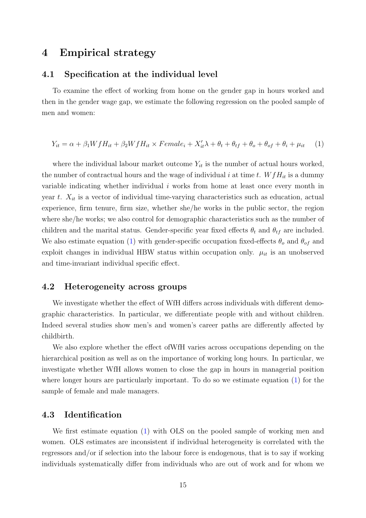## <span id="page-14-0"></span>4 Empirical strategy

#### 4.1 Specification at the individual level

To examine the effect of working from home on the gender gap in hours worked and then in the gender wage gap, we estimate the following regression on the pooled sample of men and women:

<span id="page-14-1"></span>
$$
Y_{it} = \alpha + \beta_1 W f H_{it} + \beta_2 W f H_{it} \times Female_i + X'_{it} \lambda + \theta_t + \theta_{tf} + \theta_o + \theta_{of} + \theta_i + \mu_{it} \tag{1}
$$

where the individual labour market outcome  $Y_{it}$  is the number of actual hours worked, the number of contractual hours and the wage of individual i at time t.  $WfH_{it}$  is a dummy variable indicating whether individual  $i$  works from home at least once every month in year t.  $X_{it}$  is a vector of individual time-varying characteristics such as education, actual experience, firm tenure, firm size, whether she/he works in the public sector, the region where she/he works; we also control for demographic characteristics such as the number of children and the marital status. Gender-specific year fixed effects  $\theta_t$  and  $\theta_{tf}$  are included. We also estimate equation [\(1\)](#page-14-1) with gender-specific occupation fixed-effects  $\theta_o$  and  $\theta_{of}$  and exploit changes in individual HBW status within occupation only.  $\mu_{it}$  is an unobserved and time-invariant individual specific effect.

#### 4.2 Heterogeneity across groups

We investigate whether the effect of WfH differs across individuals with different demographic characteristics. In particular, we differentiate people with and without children. Indeed several studies show men's and women's career paths are differently affected by childbirth.

We also explore whether the effect ofWfH varies across occupations depending on the hierarchical position as well as on the importance of working long hours. In particular, we investigate whether WfH allows women to close the gap in hours in managerial position where longer hours are particularly important. To do so we estimate equation [\(1\)](#page-14-1) for the sample of female and male managers.

#### 4.3 Identification

We first estimate equation [\(1\)](#page-14-1) with OLS on the pooled sample of working men and women. OLS estimates are inconsistent if individual heterogeneity is correlated with the regressors and/or if selection into the labour force is endogenous, that is to say if working individuals systematically differ from individuals who are out of work and for whom we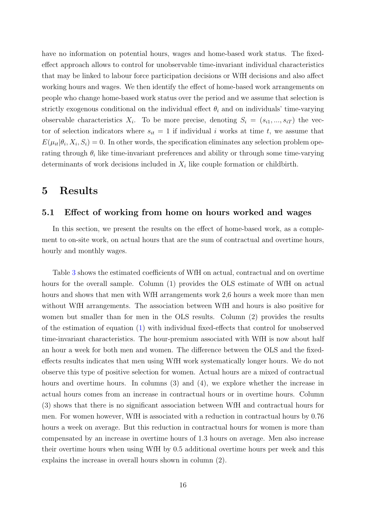have no information on potential hours, wages and home-based work status. The fixedeffect approach allows to control for unobservable time-invariant individual characteristics that may be linked to labour force participation decisions or WfH decisions and also affect working hours and wages. We then identify the effect of home-based work arrangements on people who change home-based work status over the period and we assume that selection is strictly exogenous conditional on the individual effect  $\theta_i$  and on individuals' time-varying observable characteristics  $X_i$ . To be more precise, denoting  $S_i = (s_{i1},...,s_{iT})$  the vector of selection indicators where  $s_{it} = 1$  if individual i works at time t, we assume that  $E(\mu_{it}|\theta_i, X_i, S_i) = 0$ . In other words, the specification eliminates any selection problem operating through  $\theta_i$  like time-invariant preferences and ability or through some time-varying determinants of work decisions included in  $X_i$  like couple formation or childbirth.

### <span id="page-15-0"></span>5 Results

#### 5.1 Effect of working from home on hours worked and wages

In this section, we present the results on the effect of home-based work, as a complement to on-site work, on actual hours that are the sum of contractual and overtime hours, hourly and monthly wages.

Table [3](#page-16-0) shows the estimated coefficients of WfH on actual, contractual and on overtime hours for the overall sample. Column (1) provides the OLS estimate of WfH on actual hours and shows that men with WfH arrangements work 2,6 hours a week more than men without WfH arrangements. The association between WfH and hours is also positive for women but smaller than for men in the OLS results. Column (2) provides the results of the estimation of equation [\(1\)](#page-14-1) with individual fixed-effects that control for unobserved time-invariant characteristics. The hour-premium associated with WfH is now about half an hour a week for both men and women. The difference between the OLS and the fixedeffects results indicates that men using WfH work systematically longer hours. We do not observe this type of positive selection for women. Actual hours are a mixed of contractual hours and overtime hours. In columns (3) and (4), we explore whether the increase in actual hours comes from an increase in contractual hours or in overtime hours. Column (3) shows that there is no significant association between WfH and contractual hours for men. For women however, WfH is associated with a reduction in contractual hours by 0.76 hours a week on average. But this reduction in contractual hours for women is more than compensated by an increase in overtime hours of 1.3 hours on average. Men also increase their overtime hours when using WfH by 0.5 additional overtime hours per week and this explains the increase in overall hours shown in column (2).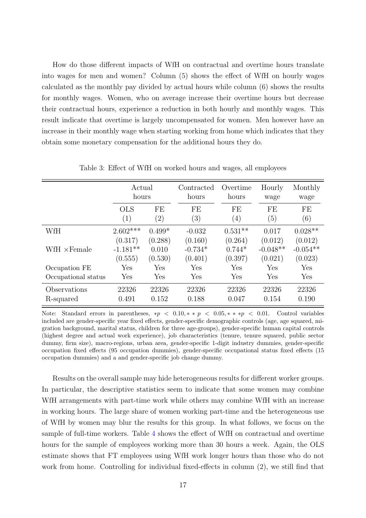How do those different impacts of WfH on contractual and overtime hours translate into wages for men and women? Column (5) shows the effect of WfH on hourly wages calculated as the monthly pay divided by actual hours while column (6) shows the results for monthly wages. Women, who on average increase their overtime hours but decrease their contractual hours, experience a reduction in both hourly and monthly wages. This result indicate that overtime is largely uncompensated for women. Men however have an increase in their monthly wage when starting working from home which indicates that they obtain some monetary compensation for the additional hours they do.

<span id="page-16-0"></span>

|                           | Actual<br>hours                  |                             | Contracted<br>hours             | Overtime<br>hours              | Hourly<br>wage                   |                                  |
|---------------------------|----------------------------------|-----------------------------|---------------------------------|--------------------------------|----------------------------------|----------------------------------|
|                           | <b>OLS</b><br>(1)                | FE<br>$\left( 2\right)$     | FE<br>(3)                       | FE<br>$\left(4\right)$         | FE<br>(5)                        | FE<br>(6)                        |
| WfH                       | $2.602***$                       | $0.499*$                    | $-0.032$                        | $0.531**$                      | 0.017                            | $0.028**$                        |
| WfH $\times$ Female       | (0.317)<br>$-1.181**$<br>(0.555) | (0.288)<br>0.010<br>(0.530) | (0.160)<br>$-0.734*$<br>(0.401) | (0.264)<br>$0.744*$<br>(0.397) | (0.012)<br>$-0.048**$<br>(0.021) | (0.012)<br>$-0.054**$<br>(0.023) |
| Occupation FE             | Yes                              | Yes                         | Yes                             | Yes                            | Yes                              | Yes                              |
| Occupational status       | Yes                              | Yes                         | Yes                             | Yes                            | Yes                              | Yes                              |
| Observations<br>R-squared | 22326<br>0.491                   | 22326<br>0.152              | 22326<br>0.188                  | 22326<br>0.047                 | 22326<br>0.154                   | 22326<br>0.190                   |

Table 3: Effect of WfH on worked hours and wages, all employees

Note: Standard errors in parentheses,  $*p < 0.10, * > p < 0.05, ** > 0.01$ . Control variables included are gender-specific year fixed effects, gender-specific demographic controls (age, age squared, migration background, marital status, children for three age-groups), gender-specific human capital controls (highest degree and actual work experience), job characteristics (tenure, tenure squared, public sector dummy, firm size), macro-regions, urban area, gender-specific 1-digit industry dummies, gender-specific occupation fixed effects (95 occupation dummies), gender-specific occupational status fixed effects (15 occupation dummies) and a and gender-specific job change dummy.

Results on the overall sample may hide heterogeneous results for different worker groups. In particular, the descriptive statistics seem to indicate that some women may combine WfH arrangements with part-time work while others may combine WfH with an increase in working hours. The large share of women working part-time and the heterogeneous use of WfH by women may blur the results for this group. In what follows, we focus on the sample of full-time workers. Table [4](#page-17-0) shows the effect of WfH on contractual and overtime hours for the sample of employees working more than 30 hours a week. Again, the OLS estimate shows that FT employees using WfH work longer hours than those who do not work from home. Controlling for individual fixed-effects in column (2), we still find that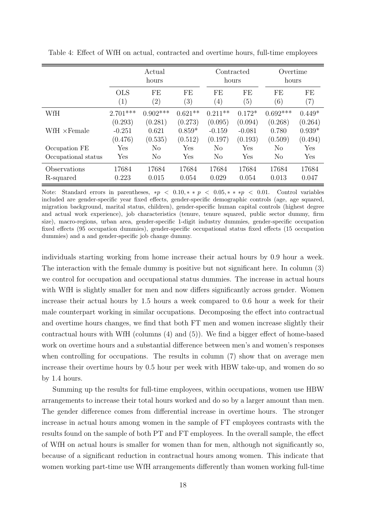|                           |                                | Actual<br>hours             |                                | Contracted<br>hours            |                                | Overtime<br>hours           |                                |
|---------------------------|--------------------------------|-----------------------------|--------------------------------|--------------------------------|--------------------------------|-----------------------------|--------------------------------|
|                           | <b>OLS</b><br>(1)              | FE<br>$\left( 2\right)$     | FE<br>$\left( 3\right)$        | FE<br>$\left( 4\right)$        | FE<br>(5)                      | FE<br>$\left(6\right)$      | FE<br>$\left( 7\right)$        |
| WfH                       | $2.701***$                     | $0.902***$                  | $0.621**$                      | $0.211**$                      | $0.172*$                       | $0.692***$                  | $0.449*$                       |
| WfH $\times$ Female       | (0.293)<br>$-0.251$<br>(0.476) | (0.281)<br>0.621<br>(0.535) | (0.273)<br>$0.859*$<br>(0.512) | (0.095)<br>$-0.159$<br>(0.197) | (0.094)<br>$-0.081$<br>(0.193) | (0.268)<br>0.780<br>(0.509) | (0.264)<br>$0.939*$<br>(0.494) |
| Occupation FE             | Yes                            | $\rm No$                    | Yes                            | N <sub>o</sub>                 | Yes                            | No                          | Yes                            |
| Occupational status       | Yes                            | N <sub>o</sub>              | Yes                            | $\rm No$                       | Yes                            | N <sub>o</sub>              | Yes                            |
| Observations<br>R-squared | 17684<br>0.223                 | 17684<br>0.015              | 17684<br>0.054                 | 17684<br>0.029                 | 17684<br>0.054                 | 17684<br>0.013              | 17684<br>0.047                 |

<span id="page-17-0"></span>Table 4: Effect of WfH on actual, contracted and overtime hours, full-time employees

Note: Standard errors in parentheses,  $*p < 0.10, * > p < 0.05, ** > p < 0.01$ . Control variables included are gender-specific year fixed effects, gender-specific demographic controls (age, age squared, migration background, marital status, children), gender-specific human capital controls (highest degree and actual work experience), job characteristics (tenure, tenure squared, public sector dummy, firm size), macro-regions, urban area, gender-specific 1-digit industry dummies, gender-specific occupation fixed effects (95 occupation dummies), gender-specific occupational status fixed effects (15 occupation dummies) and a and gender-specific job change dummy.

individuals starting working from home increase their actual hours by 0.9 hour a week. The interaction with the female dummy is positive but not significant here. In column (3) we control for occupation and occupational status dummies. The increase in actual hours with WfH is slightly smaller for men and now differs significantly across gender. Women increase their actual hours by 1.5 hours a week compared to 0.6 hour a week for their male counterpart working in similar occupations. Decomposing the effect into contractual and overtime hours changes, we find that both FT men and women increase slightly their contractual hours with WfH (columns (4) and (5)). We find a bigger effect of home-based work on overtime hours and a substantial difference between men's and women's responses when controlling for occupations. The results in column  $(7)$  show that on average men increase their overtime hours by 0.5 hour per week with HBW take-up, and women do so by 1.4 hours.

Summing up the results for full-time employees, within occupations, women use HBW arrangements to increase their total hours worked and do so by a larger amount than men. The gender difference comes from differential increase in overtime hours. The stronger increase in actual hours among women in the sample of FT employees contrasts with the results found on the sample of both PT and FT employees. In the overall sample, the effect of WfH on actual hours is smaller for women than for men, although not significantly so, because of a significant reduction in contractual hours among women. This indicate that women working part-time use WfH arrangements differently than women working full-time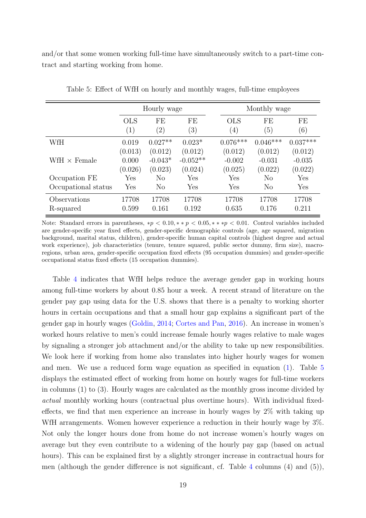and/or that some women working full-time have simultaneously switch to a part-time contract and starting working from home.

<span id="page-18-0"></span>

|                           |                             | Hourly wage                     |                                  |                                | Monthly wage                   |                                |
|---------------------------|-----------------------------|---------------------------------|----------------------------------|--------------------------------|--------------------------------|--------------------------------|
|                           | <b>OLS</b><br>(1)           | FE<br>$^{\prime}2)$             | FE<br>(3)                        | <b>OLS</b><br>$\left(4\right)$ | FE<br>$\left(5\right)$         | FE<br>(6)                      |
| WfH                       | 0.019                       | $0.027**$                       | $0.023*$                         | $0.076***$                     | $0.046***$                     | $0.037***$                     |
| WfH $\times$ Female       | (0.013)<br>0.000<br>(0.026) | (0.012)<br>$-0.043*$<br>(0.023) | (0.012)<br>$-0.052**$<br>(0.024) | (0.012)<br>$-0.002$<br>(0.025) | (0.012)<br>$-0.031$<br>(0.022) | (0.012)<br>$-0.035$<br>(0.022) |
| Occupation FE             | Yes                         | N <sub>o</sub>                  | Yes                              | Yes                            | No                             | Yes                            |
| Occupational status       | Yes                         | $\rm No$                        | Yes                              | Yes                            | $\rm No$                       | Yes                            |
| Observations<br>R-squared | 17708<br>0.599              | 17708<br>0.161                  | 17708<br>0.192                   | 17708<br>0.635                 | 17708<br>0.176                 | 17708<br>0.211                 |

Table 5: Effect of WfH on hourly and monthly wages, full-time employees

Note: Standard errors in parentheses,  $*p < 0.10, **p < 0.05, ***p < 0.01$ . Control variables included are gender-specific year fixed effects, gender-specific demographic controls (age, age squared, migration background, marital status, children), gender-specific human capital controls (highest degree and actual work experience), job characteristics (tenure, tenure squared, public sector dummy, firm size), macroregions, urban area, gender-specific occupation fixed effects (95 occupation dummies) and gender-specific occupational status fixed effects (15 occupation dummies).

Table [4](#page-17-0) indicates that WfH helps reduce the average gender gap in working hours among full-time workers by about 0.85 hour a week. A recent strand of literature on the gender pay gap using data for the U.S. shows that there is a penalty to working shorter hours in certain occupations and that a small hour gap explains a significant part of the gender gap in hourly wages [\(Goldin,](#page-27-6) [2014;](#page-27-6) [Cortes and Pan,](#page-26-6) [2016\)](#page-26-6). An increase in women's worked hours relative to men's could increase female hourly wages relative to male wages by signaling a stronger job attachment and/or the ability to take up new responsibilities. We look here if working from home also translates into higher hourly wages for women and men. We use a reduced form wage equation as specified in equation [\(1\)](#page-14-1). Table [5](#page-18-0) displays the estimated effect of working from home on hourly wages for full-time workers in columns (1) to (3). Hourly wages are calculated as the monthly gross income divided by actual monthly working hours (contractual plus overtime hours). With individual fixedeffects, we find that men experience an increase in hourly wages by 2% with taking up WfH arrangements. Women however experience a reduction in their hourly wage by  $3\%$ . Not only the longer hours done from home do not increase women's hourly wages on average but they even contribute to a widening of the hourly pay gap (based on actual hours). This can be explained first by a slightly stronger increase in contractual hours for men (although the gender difference is not significant, cf. Table [4](#page-17-0) columns (4) and (5)),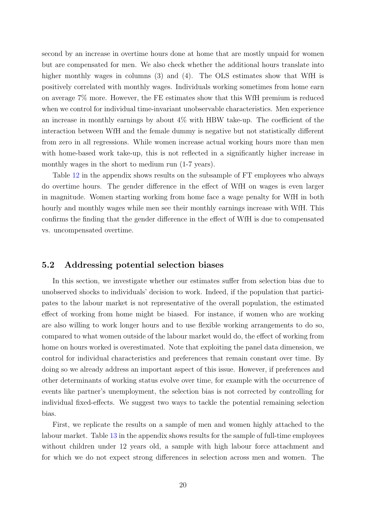second by an increase in overtime hours done at home that are mostly unpaid for women but are compensated for men. We also check whether the additional hours translate into higher monthly wages in columns (3) and (4). The OLS estimates show that WfH is positively correlated with monthly wages. Individuals working sometimes from home earn on average 7% more. However, the FE estimates show that this WfH premium is reduced when we control for individual time-invariant unobservable characteristics. Men experience an increase in monthly earnings by about  $4\%$  with HBW take-up. The coefficient of the interaction between WfH and the female dummy is negative but not statistically different from zero in all regressions. While women increase actual working hours more than men with home-based work take-up, this is not reflected in a significantly higher increase in monthly wages in the short to medium run (1-7 years).

Table [12](#page-31-0) in the appendix shows results on the subsample of FT employees who always do overtime hours. The gender difference in the effect of WfH on wages is even larger in magnitude. Women starting working from home face a wage penalty for WfH in both hourly and monthly wages while men see their monthly earnings increase with WfH. This confirms the finding that the gender difference in the effect of WfH is due to compensated vs. uncompensated overtime.

#### 5.2 Addressing potential selection biases

In this section, we investigate whether our estimates suffer from selection bias due to unobserved shocks to individuals' decision to work. Indeed, if the population that participates to the labour market is not representative of the overall population, the estimated effect of working from home might be biased. For instance, if women who are working are also willing to work longer hours and to use flexible working arrangements to do so, compared to what women outside of the labour market would do, the effect of working from home on hours worked is overestimated. Note that exploiting the panel data dimension, we control for individual characteristics and preferences that remain constant over time. By doing so we already address an important aspect of this issue. However, if preferences and other determinants of working status evolve over time, for example with the occurrence of events like partner's unemployment, the selection bias is not corrected by controlling for individual fixed-effects. We suggest two ways to tackle the potential remaining selection bias.

First, we replicate the results on a sample of men and women highly attached to the labour market. Table [13](#page-31-1) in the appendix shows results for the sample of full-time employees without children under 12 years old, a sample with high labour force attachment and for which we do not expect strong differences in selection across men and women. The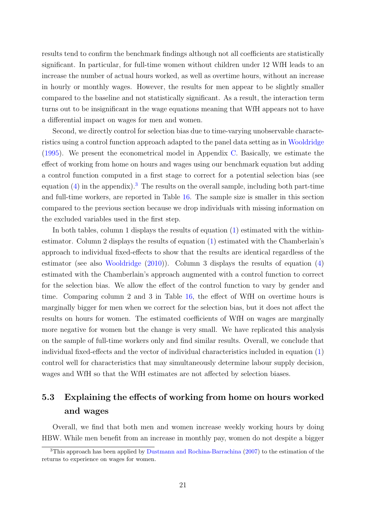results tend to confirm the benchmark findings although not all coefficients are statistically significant. In particular, for full-time women without children under 12 WfH leads to an increase the number of actual hours worked, as well as overtime hours, without an increase in hourly or monthly wages. However, the results for men appear to be slightly smaller compared to the baseline and not statistically significant. As a result, the interaction term turns out to be insignificant in the wage equations meaning that WfH appears not to have a differential impact on wages for men and women.

Second, we directly control for selection bias due to time-varying unobservable characteristics using a control function approach adapted to the panel data setting as in [Wooldridge](#page-27-11) [\(1995\)](#page-27-11). We present the econometrical model in Appendix [C.](#page-33-0) Basically, we estimate the effect of working from home on hours and wages using our benchmark equation but adding a control function computed in a first stage to correct for a potential selection bias (see equation  $(4)$  in the appendix).<sup>[3](#page-0-0)</sup> The results on the overall sample, including both part-time and full-time workers, are reported in Table [16.](#page-37-0) The sample size is smaller in this section compared to the previous section because we drop individuals with missing information on the excluded variables used in the first step.

In both tables, column 1 displays the results of equation [\(1\)](#page-14-1) estimated with the withinestimator. Column 2 displays the results of equation [\(1\)](#page-14-1) estimated with the Chamberlain's approach to individual fixed-effects to show that the results are identical regardless of the estimator (see also [Wooldridge](#page-27-12) [\(2010\)](#page-27-12)). Column 3 displays the results of equation [\(4\)](#page-34-0) estimated with the Chamberlain's approach augmented with a control function to correct for the selection bias. We allow the effect of the control function to vary by gender and time. Comparing column 2 and 3 in Table [16,](#page-37-0) the effect of WfH on overtime hours is marginally bigger for men when we correct for the selection bias, but it does not affect the results on hours for women. The estimated coefficients of WfH on wages are marginally more negative for women but the change is very small. We have replicated this analysis on the sample of full-time workers only and find similar results. Overall, we conclude that individual fixed-effects and the vector of individual characteristics included in equation [\(1\)](#page-14-1) control well for characteristics that may simultaneously determine labour supply decision, wages and WfH so that the WfH estimates are not affected by selection biases.

## 5.3 Explaining the effects of working from home on hours worked and wages

Overall, we find that both men and women increase weekly working hours by doing HBW. While men benefit from an increase in monthly pay, women do not despite a bigger

<sup>&</sup>lt;sup>3</sup>This approach has been applied by [Dustmann and Rochina-Barrachina](#page-26-11) [\(2007\)](#page-26-11) to the estimation of the returns to experience on wages for women.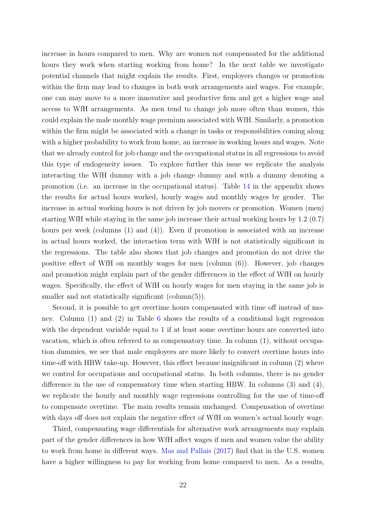increase in hours compared to men. Why are women not compensated for the additional hours they work when starting working from home? In the next table we investigate potential channels that might explain the results. First, employers changes or promotion within the firm may lead to changes in both work arrangements and wages. For example, one can may move to a more innovative and productive firm and get a higher wage and access to WfH arrangements. As men tend to change job more often than women, this could explain the male monthly wage premium associated with WfH. Similarly, a promotion within the firm might be associated with a change in tasks or responsibilities coming along with a higher probability to work from home, an increase in working hours and wages. Note that we already control for job change and the occupational status in all regressions to avoid this type of endogeneity issues. To explore further this issue we replicate the analysis interacting the WfH dummy with a job change dummy and with a dummy denoting a promotion (i.e. an increase in the occupational status). Table [14](#page-32-0) in the appendix shows the results for actual hours worked, hourly wages and monthly wages by gender. The increase in actual working hours is not driven by job movers or promotion. Women (men) starting WfH while staying in the same job increase their actual working hours by 1.2 (0.7) hours per week (columns (1) and (4)). Even if promotion is associated with an increase in actual hours worked, the interaction term with WfH is not statistically significant in the regressions. The table also shows that job changes and promotion do not drive the positive effect of WfH on monthly wages for men (column (6)). However, job changes and promotion might explain part of the gender differences in the effect of WfH on hourly wages. Specifically, the effect of WfH on hourly wages for men staying in the same job is smaller and not statistically significant (column(5)).

Second, it is possible to get overtime hours compensated with time off instead of money. Column (1) and (2) in Table [6](#page-22-0) shows the results of a conditional logit regression with the dependent variable equal to 1 if at least some overtime hours are converted into vacation, which is often referred to as compensatory time. In column (1), without occupation dummies, we see that male employees are more likely to convert overtime hours into time-off with HBW take-up. However, this effect because insignificant in column (2) where we control for occupations and occupational status. In both columns, there is no gender difference in the use of compensatory time when starting HBW. In columns (3) and (4), we replicate the hourly and monthly wage regressions controlling for the use of time-off to compensate overtime. The main results remain unchanged. Compensation of overtime with days off does not explain the negative effect of WfH on women's actual hourly wage.

Third, compensating wage differentials for alternative work arrangements may explain part of the gender differences in how WfH affect wages if men and women value the ability to work from home in different ways. [Mas and Pallais](#page-27-0) [\(2017\)](#page-27-0) find that in the U.S. women have a higher willingness to pay for working from home compared to men. As a results,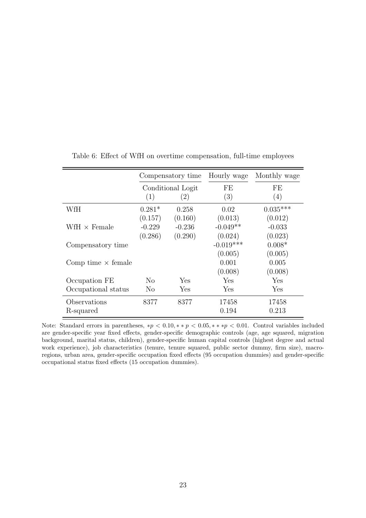|                                   |                | Compensatory time | Hourly wage | Monthly wage |
|-----------------------------------|----------------|-------------------|-------------|--------------|
|                                   |                | Conditional Logit | FE          | FE           |
|                                   | (1)            | (2)               | (3)         | (4)          |
| WfH                               | $0.281*$       | 0.258             | 0.02        | $0.035***$   |
|                                   | (0.157)        | (0.160)           | (0.013)     | (0.012)      |
| $\text{WfH} \times \text{Female}$ | $-0.229$       | $-0.236$          | $-0.049**$  | $-0.033$     |
|                                   | (0.286)        | (0.290)           | (0.024)     | (0.023)      |
| Compensatory time                 |                |                   | $-0.019***$ | $0.008*$     |
|                                   |                |                   | (0.005)     | (0.005)      |
| Comp time $\times$ female         |                |                   | 0.001       | 0.005        |
|                                   |                |                   | (0.008)     | (0.008)      |
| Occupation FE                     | N <sub>o</sub> | Yes               | Yes         | Yes          |
| Occupational status               | N <sub>o</sub> | Yes               | Yes         | Yes          |
| Observations                      | 8377           | 8377              | 17458       | 17458        |
| R-squared                         |                |                   | 0.194       | 0.213        |

<span id="page-22-0"></span>Table 6: Effect of WfH on overtime compensation, full-time employees

Note: Standard errors in parentheses, \*p < 0.10, \* \* p < 0.05, \* \* \*p < 0.01. Control variables included are gender-specific year fixed effects, gender-specific demographic controls (age, age squared, migration background, marital status, children), gender-specific human capital controls (highest degree and actual work experience), job characteristics (tenure, tenure squared, public sector dummy, firm size), macroregions, urban area, gender-specific occupation fixed effects (95 occupation dummies) and gender-specific occupational status fixed effects (15 occupation dummies).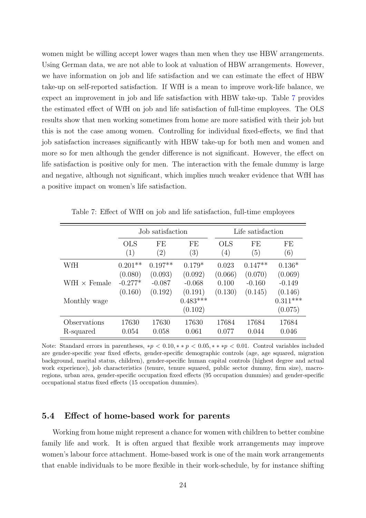women might be willing accept lower wages than men when they use HBW arrangements. Using German data, we are not able to look at valuation of HBW arrangements. However, we have information on job and life satisfaction and we can estimate the effect of HBW take-up on self-reported satisfaction. If WfH is a mean to improve work-life balance, we expect an improvement in job and life satisfaction with HBW take-up. Table [7](#page-23-0) provides the estimated effect of WfH on job and life satisfaction of full-time employees. The OLS results show that men working sometimes from home are more satisfied with their job but this is not the case among women. Controlling for individual fixed-effects, we find that job satisfaction increases significantly with HBW take-up for both men and women and more so for men although the gender difference is not significant. However, the effect on life satisfaction is positive only for men. The interaction with the female dummy is large and negative, although not significant, which implies much weaker evidence that WfH has a positive impact on women's life satisfaction.

<span id="page-23-0"></span>

|                     |            | Job satisfaction  |                       |            | Life satisfaction |                       |
|---------------------|------------|-------------------|-----------------------|------------|-------------------|-----------------------|
|                     | <b>OLS</b> | FE                | FE                    | <b>OLS</b> | FE                | FE                    |
|                     | (1)        | $\left( 2\right)$ | (3)                   | (4)        | (5)               | (6)                   |
| WfH                 | $0.201**$  | $0.197**$         | $0.179*$              | 0.023      | $0.147**$         | $0.136*$              |
|                     | (0.080)    | (0.093)           | (0.092)               | (0.066)    | (0.070)           | (0.069)               |
| WfH $\times$ Female | $-0.277*$  | $-0.087$          | $-0.068$              | 0.100      | $-0.160$          | $-0.149$              |
|                     | (0.160)    | (0.192)           | (0.191)               | (0.130)    | (0.145)           | (0.146)               |
| Monthly wage        |            |                   | $0.483***$<br>(0.102) |            |                   | $0.311***$<br>(0.075) |
| Observations        | 17630      | 17630             | 17630                 | 17684      | 17684             | 17684                 |
| R-squared           | 0.054      | 0.058             | 0.061                 | 0.077      | 0.044             | 0.046                 |

Table 7: Effect of WfH on job and life satisfaction, full-time employees

Note: Standard errors in parentheses,  $*p < 0.10, **p < 0.05, **p < 0.01$ . Control variables included are gender-specific year fixed effects, gender-specific demographic controls (age, age squared, migration background, marital status, children), gender-specific human capital controls (highest degree and actual work experience), job characteristics (tenure, tenure squared, public sector dummy, firm size), macroregions, urban area, gender-specific occupation fixed effects (95 occupation dummies) and gender-specific occupational status fixed effects (15 occupation dummies).

#### 5.4 Effect of home-based work for parents

Working from home might represent a chance for women with children to better combine family life and work. It is often argued that flexible work arrangements may improve women's labour force attachment. Home-based work is one of the main work arrangements that enable individuals to be more flexible in their work-schedule, by for instance shifting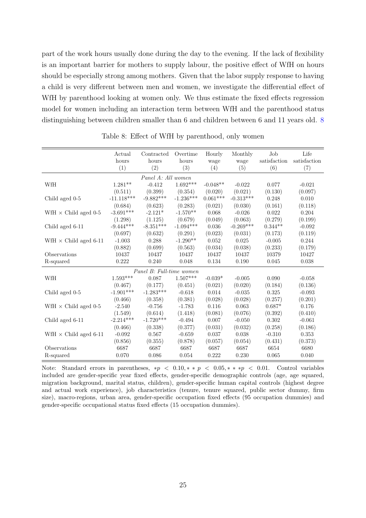part of the work hours usually done during the day to the evening. If the lack of flexibility is an important barrier for mothers to supply labour, the positive effect of WfH on hours should be especially strong among mothers. Given that the labor supply response to having a child is very different between men and women, we investigate the differential effect of WfH by parenthood looking at women only. We thus estimate the fixed effects regression model for women including an interaction term between WfH and the parenthood status distinguishing between children smaller than 6 and children between 6 and 11 years old. [8](#page-24-0)

<span id="page-24-0"></span>

|                              | Actual       | Contracted               | Overtime    | Hourly     | Monthly     | Job.         | Life         |
|------------------------------|--------------|--------------------------|-------------|------------|-------------|--------------|--------------|
|                              | hours        | hours                    | hours       | wage       | wage        | satisfaction | satisfaction |
|                              | (1)          | (2)                      | (3)         | (4)        | (5)         | (6)          | (7)          |
|                              |              | Panel A: All women       |             |            |             |              |              |
| WfH                          | $1.281**$    | $-0.412$                 | $1.692***$  | $-0.048**$ | $-0.022$    | 0.077        | $-0.021$     |
|                              | (0.511)      | (0.399)                  | (0.354)     | (0.020)    | (0.021)     | (0.130)      | (0.097)      |
| Child aged 0-5               | $-11.118***$ | $-9.882***$              | $-1.236***$ | $0.061***$ | $-0.313***$ | 0.248        | 0.010        |
|                              | (0.684)      | (0.623)                  | (0.283)     | (0.021)    | (0.030)     | (0.161)      | (0.118)      |
| WfH $\times$ Child aged 0-5  | $-3.691***$  | $-2.121*$                | $-1.570**$  | 0.068      | $-0.026$    | 0.022        | 0.204        |
|                              | (1.298)      | (1.125)                  | (0.679)     | (0.049)    | (0.063)     | (0.279)      | (0.199)      |
| Child aged 6-11              | $-9.444***$  | $-8.351***$              | $-1.094***$ | 0.036      | $-0.269***$ | $0.344**$    | $-0.092$     |
|                              | (0.697)      | (0.632)                  | (0.291)     | (0.023)    | (0.031)     | (0.173)      | (0.119)      |
| WfH $\times$ Child aged 6-11 | $-1.003$     | 0.288                    | $-1.290**$  | 0.052      | 0.025       | $-0.005$     | 0.244        |
|                              | (0.882)      | (0.699)                  | (0.563)     | (0.034)    | (0.038)     | (0.233)      | (0.179)      |
| Observations                 | 10437        | 10437                    | 10437       | 10437      | 10437       | 10379        | 10427        |
| R-squared                    | 0.222        | 0.240                    | 0.048       | 0.134      | 0.190       | 0.045        | 0.038        |
|                              |              | Panel B: Full-time women |             |            |             |              |              |
| WfH                          | $1.593***$   | 0.087                    | $1.507***$  | $-0.039*$  | $-0.005$    | 0.090        | $-0.058$     |
|                              | (0.467)      | (0.177)                  | (0.451)     | (0.021)    | (0.020)     | (0.184)      | (0.136)      |
| Child aged 0-5               | $-1.901***$  | $-1.283***$              | $-0.618$    | 0.014      | $-0.035$    | 0.325        | $-0.093$     |
|                              | (0.466)      | (0.358)                  | (0.381)     | (0.028)    | (0.028)     | (0.257)      | (0.201)      |
| WfH $\times$ Child aged 0-5  | $-2.540$     | $-0.756$                 | $-1.783$    | 0.116      | 0.063       | $0.687*$     | 0.176        |
|                              | (1.549)      | (0.614)                  | (1.418)     | (0.081)    | (0.076)     | (0.392)      | (0.410)      |
| Child aged 6-11              | $-2.214***$  | $-1.720***$              | $-0.494$    | 0.007      | $-0.050$    | 0.302        | $-0.061$     |
|                              | (0.466)      | (0.338)                  | (0.377)     | (0.031)    | (0.032)     | (0.258)      | (0.186)      |
| WfH $\times$ Child aged 6-11 | $-0.092$     | 0.567                    | $-0.659$    | 0.037      | 0.038       | $-0.310$     | 0.353        |
|                              | (0.856)      | (0.355)                  | (0.878)     | (0.057)    | (0.054)     | (0.431)      | (0.373)      |
| Observations                 | 6687         | 6687                     | 6687        | 6687       | 6687        | 6654         | 6680         |
| R-squared                    | 0.070        | 0.086                    | 0.054       | 0.222      | 0.230       | 0.065        | 0.040        |

Table 8: Effect of WfH by parenthood, only women

Note: Standard errors in parentheses,  $*p < 0.10, * > p < 0.05, ** > p < 0.01$ . Control variables included are gender-specific year fixed effects, gender-specific demographic controls (age, age squared, migration background, marital status, children), gender-specific human capital controls (highest degree and actual work experience), job characteristics (tenure, tenure squared, public sector dummy, firm size), macro-regions, urban area, gender-specific occupation fixed effects (95 occupation dummies) and gender-specific occupational status fixed effects (15 occupation dummies).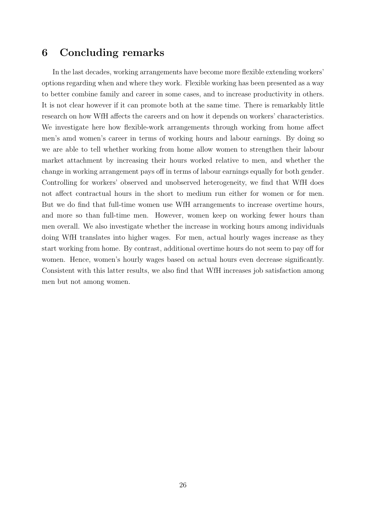## 6 Concluding remarks

In the last decades, working arrangements have become more flexible extending workers' options regarding when and where they work. Flexible working has been presented as a way to better combine family and career in some cases, and to increase productivity in others. It is not clear however if it can promote both at the same time. There is remarkably little research on how WfH affects the careers and on how it depends on workers' characteristics. We investigate here how flexible-work arrangements through working from home affect men's amd women's career in terms of working hours and labour earnings. By doing so we are able to tell whether working from home allow women to strengthen their labour market attachment by increasing their hours worked relative to men, and whether the change in working arrangement pays off in terms of labour earnings equally for both gender. Controlling for workers' observed and unobserved heterogeneity, we find that WfH does not affect contractual hours in the short to medium run either for women or for men. But we do find that full-time women use WfH arrangements to increase overtime hours, and more so than full-time men. However, women keep on working fewer hours than men overall. We also investigate whether the increase in working hours among individuals doing WfH translates into higher wages. For men, actual hourly wages increase as they start working from home. By contrast, additional overtime hours do not seem to pay off for women. Hence, women's hourly wages based on actual hours even decrease significantly. Consistent with this latter results, we also find that WfH increases job satisfaction among men but not among women.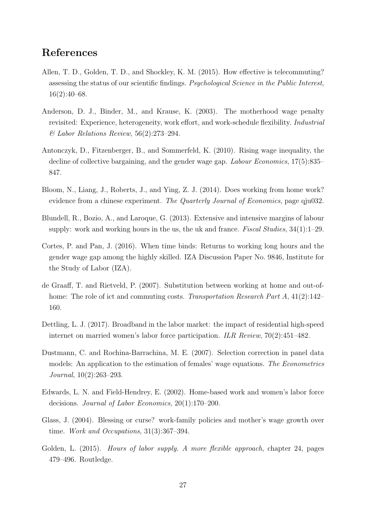## References

- <span id="page-26-1"></span>Allen, T. D., Golden, T. D., and Shockley, K. M. (2015). How effective is telecommuting? assessing the status of our scientific findings. Psychological Science in the Public Interest,  $16(2):40-68.$
- <span id="page-26-7"></span>Anderson, D. J., Binder, M., and Krause, K. (2003). The motherhood wage penalty revisited: Experience, heterogeneity, work effort, and work-schedule flexibility. Industrial & Labor Relations Review, 56(2):273–294.
- <span id="page-26-5"></span>Antonczyk, D., Fitzenberger, B., and Sommerfeld, K. (2010). Rising wage inequality, the decline of collective bargaining, and the gender wage gap. Labour Economics, 17(5):835– 847.
- <span id="page-26-2"></span>Bloom, N., Liang, J., Roberts, J., and Ying, Z. J. (2014). Does working from home work? evidence from a chinese experiment. The Quarterly Journal of Economics, page qju032.
- <span id="page-26-9"></span>Blundell, R., Bozio, A., and Laroque, G. (2013). Extensive and intensive margins of labour supply: work and working hours in the us, the uk and france. Fiscal Studies,  $34(1)$ :1–29.
- <span id="page-26-6"></span>Cortes, P. and Pan, J. (2016). When time binds: Returns to working long hours and the gender wage gap among the highly skilled. IZA Discussion Paper No. 9846, Institute for the Study of Labor (IZA).
- <span id="page-26-0"></span>de Graaff, T. and Rietveld, P. (2007). Substitution between working at home and out-ofhome: The role of ict and commuting costs. Transportation Research Part A, 41(2):142– 160.
- <span id="page-26-4"></span>Dettling, L. J. (2017). Broadband in the labor market: the impact of residential high-speed internet on married women's labor force participation. *ILR Review*,  $70(2):451-482$ .
- <span id="page-26-11"></span>Dustmann, C. and Rochina-Barrachina, M. E. (2007). Selection correction in panel data models: An application to the estimation of females' wage equations. The Econometrics Journal, 10(2):263–293.
- <span id="page-26-8"></span>Edwards, L. N. and Field-Hendrey, E. (2002). Home-based work and women's labor force decisions. Journal of Labor Economics, 20(1):170–200.
- <span id="page-26-3"></span>Glass, J. (2004). Blessing or curse? work-family policies and mother's wage growth over time. Work and Occupations, 31(3):367–394.
- <span id="page-26-10"></span>Golden, L. (2015). Hours of labor supply. A more flexible approach, chapter 24, pages 479–496. Routledge.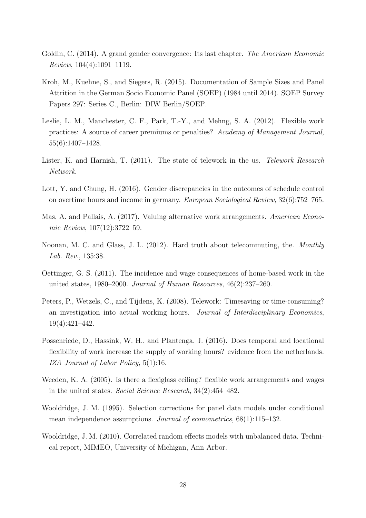- <span id="page-27-6"></span>Goldin, C. (2014). A grand gender convergence: Its last chapter. The American Economic Review, 104(4):1091–1119.
- <span id="page-27-10"></span>Kroh, M., Kuehne, S., and Siegers, R. (2015). Documentation of Sample Sizes and Panel Attrition in the German Socio Economic Panel (SOEP) (1984 until 2014). SOEP Survey Papers 297: Series C., Berlin: DIW Berlin/SOEP.
- <span id="page-27-3"></span>Leslie, L. M., Manchester, C. F., Park, T.-Y., and Mehng, S. A. (2012). Flexible work practices: A source of career premiums or penalties? Academy of Management Journal, 55(6):1407–1428.
- <span id="page-27-1"></span>Lister, K. and Harnish, T. (2011). The state of telework in the us. Telework Research Network.
- <span id="page-27-8"></span>Lott, Y. and Chung, H. (2016). Gender discrepancies in the outcomes of schedule control on overtime hours and income in germany. European Sociological Review, 32(6):752–765.
- <span id="page-27-0"></span>Mas, A. and Pallais, A. (2017). Valuing alternative work arrangements. American Economic Review, 107(12):3722–59.
- <span id="page-27-5"></span>Noonan, M. C. and Glass, J. L. (2012). Hard truth about telecommuting, the. Monthly Lab. Rev., 135:38.
- <span id="page-27-4"></span>Oettinger, G. S. (2011). The incidence and wage consequences of home-based work in the united states, 1980–2000. Journal of Human Resources, 46(2):237–260.
- <span id="page-27-9"></span>Peters, P., Wetzels, C., and Tijdens, K. (2008). Telework: Timesaving or time-consuming? an investigation into actual working hours. Journal of Interdisciplinary Economics, 19(4):421–442.
- <span id="page-27-7"></span>Possenriede, D., Hassink, W. H., and Plantenga, J. (2016). Does temporal and locational flexibility of work increase the supply of working hours? evidence from the netherlands. IZA Journal of Labor Policy, 5(1):16.
- <span id="page-27-2"></span>Weeden, K. A. (2005). Is there a flexiglass ceiling? flexible work arrangements and wages in the united states. Social Science Research, 34(2):454–482.
- <span id="page-27-11"></span>Wooldridge, J. M. (1995). Selection corrections for panel data models under conditional mean independence assumptions. Journal of econometrics,  $68(1)$ :115–132.
- <span id="page-27-12"></span>Wooldridge, J. M. (2010). Correlated random effects models with unbalanced data. Technical report, MIMEO, University of Michigan, Ann Arbor.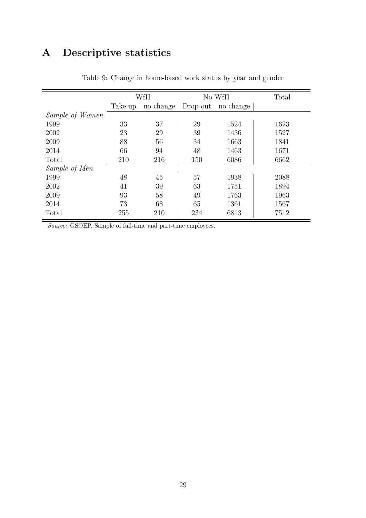# A Descriptive statistics

|                 |         | WfH       |          | No WfH    | Total |
|-----------------|---------|-----------|----------|-----------|-------|
|                 | Take-up | no change | Drop-out | no change |       |
| Sample of Women |         |           |          |           |       |
| 1999            | 33      | 37        | 29       | 1524      | 1623  |
| 2002            | 23      | 29        | 39       | 1436      | 1527  |
| 2009            | 88      | 56        | 34       | 1663      | 1841  |
| 2014            | 66      | 94        | 48       | 1463      | 1671  |
| Total           | 210     | 216       | 150      | 6086      | 6662  |
| Sample of Men   |         |           |          |           |       |
| 1999            | 48      | 45        | 57       | 1938      | 2088  |
| 2002            | 41      | 39        | 63       | 1751      | 1894  |
| 2009            | 93      | 58        | 49       | 1763      | 1963  |
| 2014            | 73      | 68        | 65       | 1361      | 1567  |
| Total           | 255     | 210       | 234      | 6813      | 7512  |

Table 9: Change in home-based work status by year and gender

Source: GSOEP. Sample of full-time and part-time employees.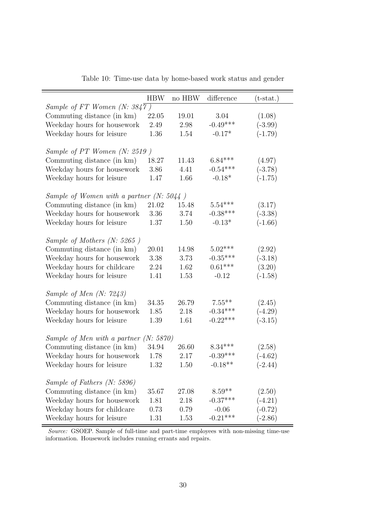| <b>HBW</b> | no HBW                                                           | difference                                                                             | $(t-stat.)$             |
|------------|------------------------------------------------------------------|----------------------------------------------------------------------------------------|-------------------------|
|            |                                                                  |                                                                                        |                         |
| 22.05      | 19.01                                                            | 3.04                                                                                   | (1.08)                  |
| 2.49       | 2.98                                                             | $-0.49***$                                                                             | $(-3.99)$               |
| 1.36       | 1.54                                                             | $-0.17*$                                                                               | $(-1.79)$               |
|            |                                                                  |                                                                                        |                         |
|            |                                                                  |                                                                                        |                         |
| 18.27      | 11.43                                                            | $6.84***$                                                                              | (4.97)                  |
| 3.86       | 4.41                                                             | $-0.54***$                                                                             | $(-3.78)$               |
| 1.47       | 1.66                                                             | $-0.18*$                                                                               | $(-1.75)$               |
|            |                                                                  |                                                                                        |                         |
|            |                                                                  |                                                                                        |                         |
| 21.02      | 15.48                                                            | $5.54***$                                                                              | (3.17)                  |
| 3.36       | 3.74                                                             | $-0.38***$                                                                             | $(-3.38)$               |
| 1.37       | 1.50                                                             | $-0.13*$                                                                               | $(-1.66)$               |
|            |                                                                  |                                                                                        |                         |
|            |                                                                  |                                                                                        |                         |
| 20.01      | 14.98                                                            | $5.02***$                                                                              | (2.92)                  |
| 3.38       | 3.73                                                             | $-0.35***$                                                                             | $(-3.18)$               |
| 2.24       | 1.62                                                             | $0.61***$                                                                              | (3.20)                  |
| 1.41       | 1.53                                                             | $-0.12$                                                                                | $(-1.58)$               |
|            |                                                                  |                                                                                        |                         |
|            |                                                                  |                                                                                        |                         |
| 34.35      | 26.79                                                            | $7.55***$                                                                              | (2.45)                  |
| 1.85       | 2.18                                                             | $-0.34***$                                                                             | $(-4.29)$               |
| 1.39       | 1.61                                                             | $-0.22***$                                                                             | $(-3.15)$               |
|            |                                                                  |                                                                                        |                         |
|            |                                                                  |                                                                                        |                         |
| 34.94      | 26.60                                                            | $8.34***$                                                                              | (2.58)                  |
| 1.78       | 2.17                                                             | $-0.39***$                                                                             | $(-4.62)$               |
| 1.32       | 1.50                                                             |                                                                                        | $(-2.44)$               |
|            |                                                                  |                                                                                        |                         |
|            |                                                                  |                                                                                        |                         |
| 35.67      | 27.08                                                            | $8.59**$                                                                               | (2.50)                  |
| 1.81       | 2.18                                                             | $-0.37***$                                                                             | $(-4.21)$               |
| 0.73       | 0.79                                                             | $-0.06$                                                                                | $(-0.72)$               |
| 1.31       | 1.53                                                             |                                                                                        | $(-2.86)$               |
|            | Sample of FT Women $(N: 3847)$<br>Sample of PT Women $(N: 2519)$ | Sample of Women with a partner $(N: 5044)$<br>Sample of Men with a partner $(N: 5870)$ | $-0.18**$<br>$-0.21***$ |

Table 10: Time-use data by home-based work status and gender

Source: GSOEP. Sample of full-time and part-time employees with non-missing time-use information. Housework includes running errants and repairs.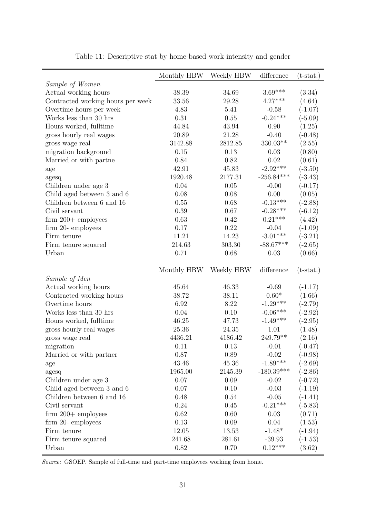|                                   | Monthly HBW    | Weekly HBW     | difference            | $(t-stat.)$         |
|-----------------------------------|----------------|----------------|-----------------------|---------------------|
| Sample of Women                   |                |                |                       |                     |
| Actual working hours              | 38.39          | 34.69          | $3.69***$             | (3.34)              |
| Contracted working hours per week | $33.56\,$      | 29.28          | $4.27***$             | (4.64)              |
| Overtime hours per week           | 4.83           | 5.41           | $-0.58$               | $(-1.07)$           |
| Works less than 30 hrs            | 0.31           | $0.55\,$       | $-0.24***$            | $(-5.09)$           |
| Hours worked, fulltime            | 44.84          | 43.94          | 0.90                  | (1.25)              |
| gross hourly real wages           | 20.89          | 21.28          | $-0.40$               | $(-0.48)$           |
| gross wage real                   | 3142.88        | 2812.85        | $330.03**$            | (2.55)              |
| migration background              | 0.15           | 0.13           | 0.03                  | (0.80)              |
| Married or with partne            | 0.84           | 0.82           | 0.02                  | (0.61)              |
| age                               | 42.91          | 45.83          | $-2.92***$            | $(-3.50)$           |
| agesq                             | 1920.48        | 2177.31        | $-256.84***$          | $(-3.43)$           |
| Children under age 3              | 0.04           | 0.05           | $-0.00$               | $(-0.17)$           |
| Child aged between 3 and 6        | 0.08           | 0.08           | 0.00                  | (0.05)              |
| Children between 6 and 16         | 0.55           | 0.68           | $-0.13***$            | $(-2.88)$           |
| Civil servant                     | 0.39           | 0.67           | $-0.28***$            | $(-6.12)$           |
| $firm\ 200+$ employees            | 0.63           | 0.42           | $0.21***$             | (4.42)              |
| firm 20- employees                | 0.17           | 0.22           | $-0.04$               | $(-1.09)$           |
| Firm tenure                       | 11.21          | 14.23          | $-3.01***$            | $(-3.21)$           |
| Firm tenure squared               | 214.63         | 303.30         | $-88.67***$           | $(-2.65)$           |
| Urban                             | 0.71           | 0.68           | 0.03                  | (0.66)              |
|                                   |                |                |                       |                     |
|                                   | Monthly HBW    | Weekly HBW     | difference            |                     |
|                                   |                |                |                       | $(t-stat.)$         |
| Sample of Men                     |                |                |                       |                     |
| Actual working hours              | 45.64          | 46.33          | $-0.69$               | $(-1.17)$           |
| Contracted working hours          | 38.72          | 38.11          | $0.60*$               | (1.66)              |
| Overtime hours                    | 6.92           | 8.22           | $-1.29***$            | $(-2.79)$           |
| Works less than 30 hrs            | 0.04           | 0.10           | $-0.06***$            | $(-2.92)$           |
| Hours worked, fulltime            | 46.25          | 47.73          | $-1.49***$            | $(-2.95)$           |
| gross hourly real wages           | 25.36          | 24.35          | 1.01                  | (1.48)              |
| gross wage real                   | 4436.21        | 4186.42        | 249.79**              | (2.16)              |
| migration                         | 0.11           | 0.13           | $-0.01$               | $(-0.47)$           |
| Married or with partner           | 0.87           | 0.89           | $-0.02$               | $(-0.98)$           |
| age                               | 43.46          | 45.36          | $-1.89***$            | $(-2.69)$           |
| agesq                             | 1965.00        | 2145.39        | $-180.39***$          | $(-2.86)$           |
| Children under age 3              | 0.07           | 0.09           | $-0.02$               | $(-0.72)$           |
| Child aged between 3 and 6        | 0.07           | 0.10           | $-0.03$               | $(-1.19)$           |
| Children between 6 and 16         | 0.48           | 0.54           | $-0.05$               | $(-1.41)$           |
| Civil servant                     | 0.24           | 0.45           | $-0.21***$            | $(-5.83)$           |
| firm 200+ $\it{employes}$         | 0.62           | 0.60           | 0.03                  | (0.71)              |
| firm 20- employees                | 0.13           | 0.09           | 0.04                  | (1.53)              |
| Firm tenure                       | 12.05          | 13.53          | $-1.48*$              | $(-1.94)$           |
| Firm tenure squared<br>Urban      | 241.68<br>0.82 | 281.61<br>0.70 | $-39.93$<br>$0.12***$ | $(-1.53)$<br>(3.62) |

Table 11: Descriptive stat by home-based work intensity and gender

Source: GSOEP. Sample of full-time and part-time employees working from home.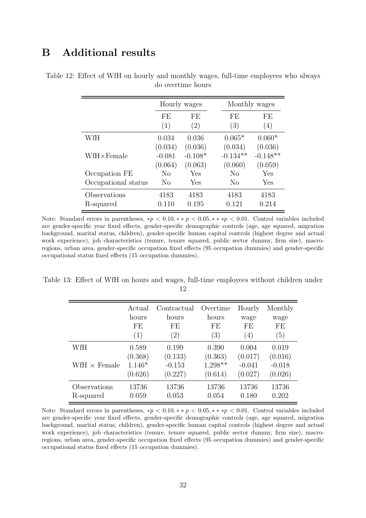## B Additional results

|                           |                     | Hourly wages            |                       | Monthly wages         |
|---------------------------|---------------------|-------------------------|-----------------------|-----------------------|
|                           | FE<br>(1)           | FE<br>$\left( 2\right)$ | FE<br>(3)             | FE<br>(4)             |
| WfH                       | 0.034<br>(0.034)    | 0.036<br>(0.036)        | $0.065*$<br>(0.034)   | $0.060*$<br>(0.036)   |
| $WfH \times$ Female       | $-0.081$<br>(0.064) | $-0.108*$<br>(0.063)    | $-0.134**$<br>(0.060) | $-0.148**$<br>(0.059) |
| Occupation FE             | N <sub>0</sub>      | Yes                     | No                    | Yes                   |
| Occupational status       | No                  | Yes                     | No                    | Yes                   |
| Observations<br>R-squared | 4183<br>0.110       | 4183<br>0.195           | 4183<br>0.121         | 4183<br>0.214         |

<span id="page-31-0"></span>Table 12: Effect of WfH on hourly and monthly wages, full-time employees who always do overtime hours

Note: Standard errors in parentheses,  $*p < 0.10, **p < 0.05, **p < 0.01$ . Control variables included are gender-specific year fixed effects, gender-specific demographic controls (age, age squared, migration background, marital status, children), gender-specific human capital controls (highest degree and actual work experience), job characteristics (tenure, tenure squared, public sector dummy, firm size), macroregions, urban area, gender-specific occupation fixed effects (95 occupation dummies) and gender-specific occupational status fixed effects (15 occupation dummies).

<span id="page-31-1"></span>Table 13: Effect of WfH on hours and wages, full-time employees without children under 12

|                            | Actual                                  | Contractual                             | Overtime                                 | Hourly                                  | Monthly                                 |
|----------------------------|-----------------------------------------|-----------------------------------------|------------------------------------------|-----------------------------------------|-----------------------------------------|
|                            | hours                                   | hours                                   | hours                                    | wage                                    | wage                                    |
|                            | FE                                      | FE                                      | FE                                       | FE                                      | FE                                      |
|                            | (1)                                     | $\left( 2\right)$                       | (3)                                      | (4)                                     | (5)                                     |
| WfH<br>WfH $\times$ Female | 0.589<br>(0.368)<br>$1.146*$<br>(0.626) | 0.199<br>(0.133)<br>$-0.153$<br>(0.227) | 0.390<br>(0.363)<br>$1.298**$<br>(0.614) | 0.004<br>(0.017)<br>$-0.041$<br>(0.027) | 0.019<br>(0.016)<br>$-0.018$<br>(0.026) |
| Observations               | 13736                                   | 13736                                   | 13736                                    | 13736                                   | 13736                                   |
| R-squared                  | 0.059                                   | 0.053                                   | 0.054                                    | 0.180                                   | 0.202                                   |

Note: Standard errors in parentheses,  $*p < 0.10, **p < 0.05, ***p < 0.01$ . Control variables included are gender-specific year fixed effects, gender-specific demographic controls (age, age squared, migration background, marital status, children), gender-specific human capital controls (highest degree and actual work experience), job characteristics (tenure, tenure squared, public sector dummy, firm size), macroregions, urban area, gender-specific occupation fixed effects (95 occupation dummies) and gender-specific occupational status fixed effects (15 occupation dummies).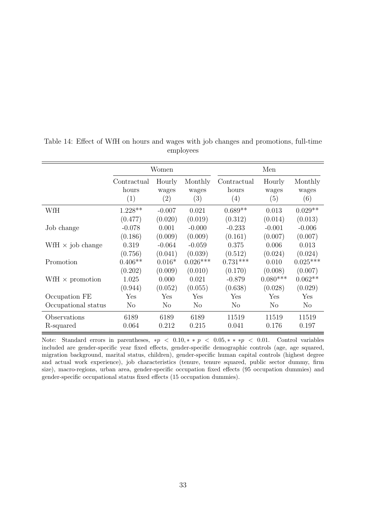|                         | Women                       |                        |                         | Men                         |                        |                         |  |
|-------------------------|-----------------------------|------------------------|-------------------------|-----------------------------|------------------------|-------------------------|--|
|                         | Contractual<br>hours<br>(1) | Hourly<br>wages<br>(2) | Monthly<br>wages<br>(3) | Contractual<br>hours<br>(4) | Hourly<br>wages<br>(5) | Monthly<br>wages<br>(6) |  |
| WfH                     | $1.228**$                   | $-0.007$               | 0.021                   | $0.689**$                   | 0.013                  | $0.029**$               |  |
|                         | (0.477)                     | (0.020)                | (0.019)                 | (0.312)                     | (0.014)                | (0.013)                 |  |
| Job change              | $-0.078$                    | 0.001                  | $-0.000$                | $-0.233$                    | $-0.001$               | $-0.006$                |  |
|                         | (0.186)                     | (0.009)                | (0.009)                 | (0.161)                     | (0.007)                | (0.007)                 |  |
| WfH $\times$ job change | 0.319                       | $-0.064$               | $-0.059$                | 0.375                       | 0.006                  | 0.013                   |  |
|                         | (0.756)                     | (0.041)                | (0.039)                 | (0.512)                     | (0.024)                | (0.024)                 |  |
| Promotion               | $0.406**$                   | $0.016*$               | $0.026***$              | $0.731***$                  | 0.010                  | $0.025***$              |  |
|                         | (0.202)                     | (0.009)                | (0.010)                 | (0.170)                     | (0.008)                | (0.007)                 |  |
| WfH $\times$ promotion  | 1.025                       | 0.000                  | 0.021                   | $-0.879$                    | $0.080***$             | $0.062**$               |  |
|                         | (0.944)                     | (0.052)                | (0.055)                 | (0.638)                     | (0.028)                | (0.029)                 |  |
| Occupation FE           | Yes                         | Yes                    | Yes                     | Yes                         | $\operatorname{Yes}$   | Yes                     |  |
| Occupational status     | N <sub>o</sub>              | N <sub>0</sub>         | N <sub>0</sub>          | N <sub>o</sub>              | N <sub>o</sub>         | No                      |  |
| Observations            | 6189                        | 6189                   | 6189                    | 11519                       | 11519                  | 11519                   |  |
| R-squared               | 0.064                       | 0.212                  | 0.215                   | 0.041                       | 0.176                  | 0.197                   |  |

<span id="page-32-0"></span>Table 14: Effect of WfH on hours and wages with job changes and promotions, full-time employees

Note: Standard errors in parentheses, \*p < 0.10, \* \* p < 0.05, \* \* \*p < 0.01. Control variables included are gender-specific year fixed effects, gender-specific demographic controls (age, age squared, migration background, marital status, children), gender-specific human capital controls (highest degree and actual work experience), job characteristics (tenure, tenure squared, public sector dummy, firm size), macro-regions, urban area, gender-specific occupation fixed effects (95 occupation dummies) and gender-specific occupational status fixed effects (15 occupation dummies).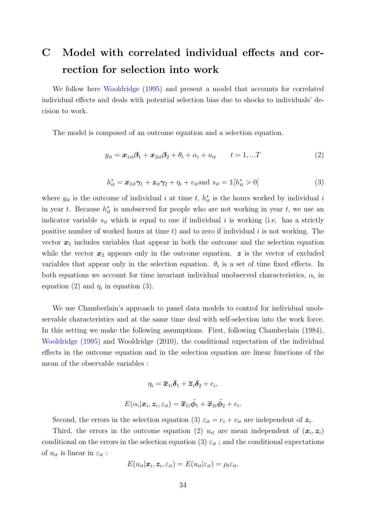# <span id="page-33-0"></span>C Model with correlated individual effects and correction for selection into work

We follow here [Wooldridge](#page-27-11) [\(1995\)](#page-27-11) and present a model that accounts for correlated individual effects and deals with potential selection bias due to shocks to individuals' decision to work.

The model is composed of an outcome equation and a selection equation.

<span id="page-33-1"></span>
$$
y_{it} = \boldsymbol{x}_{1it}\boldsymbol{\beta}_1 + \boldsymbol{x}_{2it}\boldsymbol{\beta}_2 + \theta_t + \alpha_i + u_{it} \qquad t = 1,...T
$$
\n(2)

<span id="page-33-2"></span>
$$
h_{it}^* = \boldsymbol{x}_{1it}\boldsymbol{\gamma}_1 + \boldsymbol{z}_{it}\boldsymbol{\gamma}_2 + \eta_i + v_{it} \text{and } s_{it} = \mathbb{1}[h_{it}^* > 0]
$$
\n
$$
\tag{3}
$$

where  $y_{it}$  is the outcome of individual i at time t,  $h_{it}^*$  is the hours worked by individual i in year t. Because  $h_{it}^*$  is unobserved for people who are not working in year t, we use an indicator variable  $s_{it}$  which is equal to one if individual i is working (i.e. has a strictly positive number of worked hours at time  $t$ ) and to zero if individual  $i$  is not working. The vector  $x_1$  includes variables that appear in both the outcome and the selection equation while the vector  $x_2$  appears only in the outcome equation.  $z$  is the vector of excluded variables that appear only in the selection equation.  $\theta_t$  is a set of time fixed effects. In both equations we account for time invariant individual unobserved characteristics,  $\alpha_i$  in equation [\(2\)](#page-33-1) and  $\eta_i$  in equation [\(3\)](#page-33-2).

We use Chamberlain's approach to panel data models to control for individual unobservable characteristics and at the same time deal with self-selection into the work force. In this setting we make the following assumptions. First, following Chamberlain (1984), [Wooldridge](#page-27-11) [\(1995\)](#page-27-11) and Wooldridge (2010), the conditional expectation of the individual effects in the outcome equation and in the selection equation are linear functions of the mean of the observable variables :

$$
\eta_i = \overline{x}_{1i}\delta_1 + \overline{z}_i\delta_2 + e_i,
$$
  

$$
E(\alpha_i|\boldsymbol{x}_i, \boldsymbol{z}_i, \varepsilon_{it}) = \overline{x}_{1i}\tilde{\phi}_1 + \overline{x}_{2i}\tilde{\phi}_2 + e_i
$$

.

Second, the errors in the selection equation [\(3\)](#page-33-2)  $\varepsilon_{it} = e_i + v_{it}$  are independent of  $z_i$ .

Third, the errors in the outcome equation [\(2\)](#page-33-1)  $u_{it}$  are mean independent of  $(x_i, z_i)$ conditional on the errors in the selection equation [\(3\)](#page-33-2)  $\varepsilon_{it}$ ; and the conditional expectations of  $u_{it}$  is linear in  $\varepsilon_{it}$ :

$$
E(u_{it}|\boldsymbol{x}_i,\boldsymbol{z}_i,\varepsilon_{it})=E(u_{it}|\varepsilon_{it})=\rho_t\varepsilon_{it}.
$$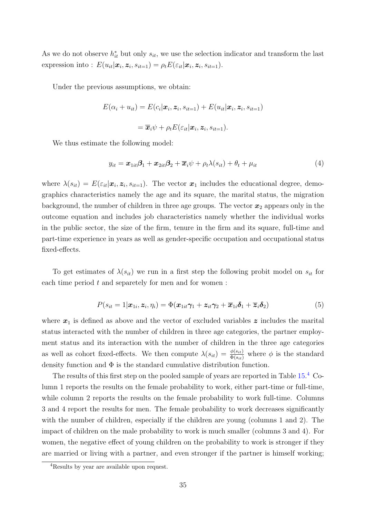As we do not observe  $h_{it}^*$  but only  $s_{it}$ , we use the selection indicator and transform the last expression into :  $E(u_{it}|\boldsymbol{x}_i, \boldsymbol{z}_i, s_{it=1}) = \rho_t E(\varepsilon_{it}|\boldsymbol{x}_i, \boldsymbol{z}_i, s_{it=1}).$ 

Under the previous assumptions, we obtain:

$$
E(\alpha_i + u_{it}) = E(c_i | \mathbf{x}_i, \mathbf{z}_i, s_{it=1}) + E(u_{it} | \mathbf{x}_i, \mathbf{z}_i, s_{it=1})
$$

$$
= \overline{\mathbf{x}}_i \psi + \rho_t E(\varepsilon_{it} | \mathbf{x}_i, \mathbf{z}_i, s_{it=1}).
$$

We thus estimate the following model:

<span id="page-34-0"></span>
$$
y_{it} = \boldsymbol{x}_{1it}\boldsymbol{\beta}_1 + \boldsymbol{x}_{2it}\boldsymbol{\beta}_2 + \overline{\boldsymbol{x}}_i\psi + \rho_t\lambda(s_{it}) + \theta_t + \mu_{it}
$$
(4)

where  $\lambda(s_{it}) = E(\varepsilon_{it}|\mathbf{x}_i, \mathbf{z}_i, s_{it-1})$ . The vector  $\mathbf{x}_1$  includes the educational degree, demographics characteristics namely the age and its square, the marital status, the migration background, the number of children in three age groups. The vector  $x_2$  appears only in the outcome equation and includes job characteristics namely whether the individual works in the public sector, the size of the firm, tenure in the firm and its square, full-time and part-time experience in years as well as gender-specific occupation and occupational status fixed-effects.

To get estimates of  $\lambda(s_{it})$  we run in a first step the following probit model on  $s_{it}$  for each time period  $t$  and separetely for men and for women:

$$
P(s_{it}=1|\boldsymbol{x}_{1i},\boldsymbol{z}_{i},\eta_{i})=\Phi(\boldsymbol{x}_{1it}\boldsymbol{\gamma}_{1}+\boldsymbol{z}_{it}\boldsymbol{\gamma}_{2}+\overline{\boldsymbol{x}}_{1i}\boldsymbol{\delta}_{1}+\overline{\boldsymbol{z}}_{i}\boldsymbol{\delta}_{2})
$$
\n(5)

where  $x_1$  is defined as above and the vector of excluded variables z includes the marital status interacted with the number of children in three age categories, the partner employment status and its interaction with the number of children in the three age categories as well as cohort fixed-effects. We then compute  $\lambda(s_{it}) = \frac{\phi(s_{it})}{\Phi(s_{it})}$  where  $\phi$  is the standard density function and  $\Phi$  is the standard cumulative distribution function.

The results of this first step on the pooled sample of years are reported in Table [15.](#page-36-0)<sup>[4](#page-0-0)</sup> Column 1 reports the results on the female probability to work, either part-time or full-time, while column 2 reports the results on the female probability to work full-time. Columns 3 and 4 report the results for men. The female probability to work decreases significantly with the number of children, especially if the children are young (columns 1 and 2). The impact of children on the male probability to work is much smaller (columns 3 and 4). For women, the negative effect of young children on the probability to work is stronger if they are married or living with a partner, and even stronger if the partner is himself working;

<sup>4</sup>Results by year are available upon request.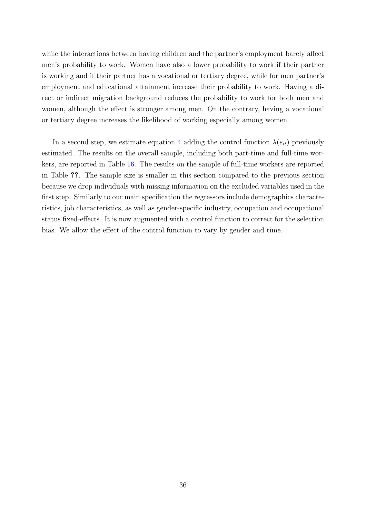while the interactions between having children and the partner's employment barely affect men's probability to work. Women have also a lower probability to work if their partner is working and if their partner has a vocational or tertiary degree, while for men partner's employment and educational attainment increase their probability to work. Having a direct or indirect migration background reduces the probability to work for both men and women, although the effect is stronger among men. On the contrary, having a vocational or tertiary degree increases the likelihood of working especially among women.

In a second step, we estimate equation [4](#page-34-0) adding the control function  $\lambda(s_{it})$  previously estimated. The results on the overall sample, including both part-time and full-time workers, are reported in Table [16.](#page-37-0) The results on the sample of full-time workers are reported in Table ??. The sample size is smaller in this section compared to the previous section because we drop individuals with missing information on the excluded variables used in the first step. Similarly to our main specification the regressors include demographics characteristics, job characteristics, as well as gender-specific industry, occupation and occupational status fixed-effects. It is now augmented with a control function to correct for the selection bias. We allow the effect of the control function to vary by gender and time.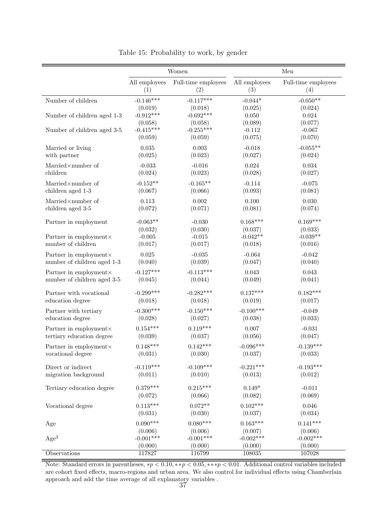<span id="page-36-0"></span>

|                                              |                                | Women                          | Men                              |                                  |  |
|----------------------------------------------|--------------------------------|--------------------------------|----------------------------------|----------------------------------|--|
|                                              | All employees                  | Full-time employees            | All employees                    | Full-time employees              |  |
|                                              | (1)                            | (2)                            | (3)                              | (4)                              |  |
| Number of children                           | $-0.146***$                    | $-0.117***$                    | $-0.044*$                        | $-0.050**$                       |  |
|                                              | (0.019)                        | (0.018)                        | (0.025)                          | (0.024)                          |  |
| Number of children aged 1-3                  | $-0.912***$                    | $-0.692***$                    | $0.050\,$                        | $\,0.024\,$                      |  |
|                                              | (0.058)                        | (0.058)                        | (0.089)                          | (0.077)                          |  |
| Number of children aged 3-5                  | $-0.415***$                    | $-0.255***$                    | $-0.112$                         | $-0.067$                         |  |
|                                              | (0.059)                        | (0.059)                        | (0.075)                          | (0.070)                          |  |
| Married or living                            | $\,0.035\,$                    | 0.003                          | $-0.018$                         | $-0.055**$                       |  |
| with partner                                 | (0.025)                        | (0.023)                        | (0.027)                          | (0.024)                          |  |
| Married×number of                            | $-0.033$                       | $-0.016$                       | 0.024                            | 0.034                            |  |
| children                                     | (0.024)                        | (0.023)                        | (0.028)                          | (0.027)                          |  |
| Married×number of                            | $-0.152**$                     | $-0.165**$                     | $-0.114$                         | $-0.075$                         |  |
| children aged 1-3                            | (0.067)                        | (0.066)                        | (0.093)                          | (0.081)                          |  |
| Married×number of                            | 0.113                          | 0.002                          | 0.100                            | 0.030                            |  |
| children aged 3-5                            | (0.072)                        | (0.071)                        | (0.081)                          | (0.074)                          |  |
| Partner in employment                        | $-0.063**$                     | $-0.030$                       | $0.168***$                       | $0.169***$                       |  |
| Partner in employment×<br>number of children | (0.032)<br>$-0.005$<br>(0.017) | (0.030)<br>$-0.015$<br>(0.017) | (0.037)<br>$-0.042**$<br>(0.018) | (0.033)<br>$-0.039**$<br>(0.016) |  |
| Partner in employment×                       | 0.025                          | $-0.035$                       | $-0.064$                         | $-0.042$                         |  |
| number of children aged 1-3                  | (0.040)                        | (0.039)                        | (0.047)                          | (0.040)                          |  |
| Partner in employment×                       | $-0.127***$                    | $-0.113***$                    | 0.043                            | 0.043                            |  |
| number of children aged 3-5                  | (0.045)                        | (0.044)                        | (0.049)                          | (0.041)                          |  |
| Partner with vocational                      | $-0.299***$                    | $-0.282***$                    | $0.137***$                       | $0.182***$                       |  |
| education degree                             | (0.018)                        | (0.018)                        | (0.019)                          | (0.017)                          |  |
| Partner with tertiary                        | $-0.300***$                    | $-0.150***$                    | $-0.100***$                      | $-0.049$                         |  |
| education degree                             | (0.028)                        | (0.027)                        | (0.038)                          | (0.033)                          |  |
| Partner in employment×                       | $0.154***$                     | $0.119***$                     | 0.007                            | $-0.031$                         |  |
| tertiary education degree                    | (0.039)                        | (0.037)                        | (0.056)                          | (0.047)                          |  |
| Partner in employment ×                      | $0.148***$                     | $0.142***$                     | $-0.096***$                      | $-0.139***$                      |  |
| vocational degree                            | (0.031)                        | (0.030)                        | (0.037)                          | (0.033)                          |  |
| $\!\!$ Direct or indirect                    | $-0.119***$                    | $-0.109***$                    | $-0.221***$                      | $-0.193***$                      |  |
| migration background                         | (0.011)                        | (0.010)                        | (0.013)                          | (0.012)                          |  |
| Tertiary education degree                    | $0.379***$                     | $0.215***$                     | $0.149*$                         | $-0.011$                         |  |
|                                              | (0.072)                        | (0.066)                        | (0.082)                          | (0.069)                          |  |
| Vocational degree                            | $0.113***$                     | $0.072**$                      | $0.102***$                       | 0.046                            |  |
|                                              | (0.031)                        | (0.030)                        | (0.037)                          | (0.034)                          |  |
| Age                                          | $0.090***$                     | $0.080***$                     | $0.163***$                       | $0.141***$                       |  |
|                                              | (0.006)                        | (0.006)                        | (0.007)                          | (0.006)                          |  |
| Age <sup>2</sup>                             | $-0.001***$                    | $-0.001***$                    | $-0.002***$                      | $-0.002***$                      |  |
|                                              | (0.000)                        | (0.000)                        | (0.000)                          | (0.000)                          |  |
| Observations                                 | 117827                         | 116799                         | 108035                           | 107028                           |  |

Table 15: Probability to work, by gender

Note: Standard errors in parentheses,  $*p < 0.10, **p < 0.05, ***p < 0.01$ . Additional control variables included are cohort fixed effects, macro-regions and urban area. We also control for individual effects using Chamberlain approach and add the time average of all explanatory variables .